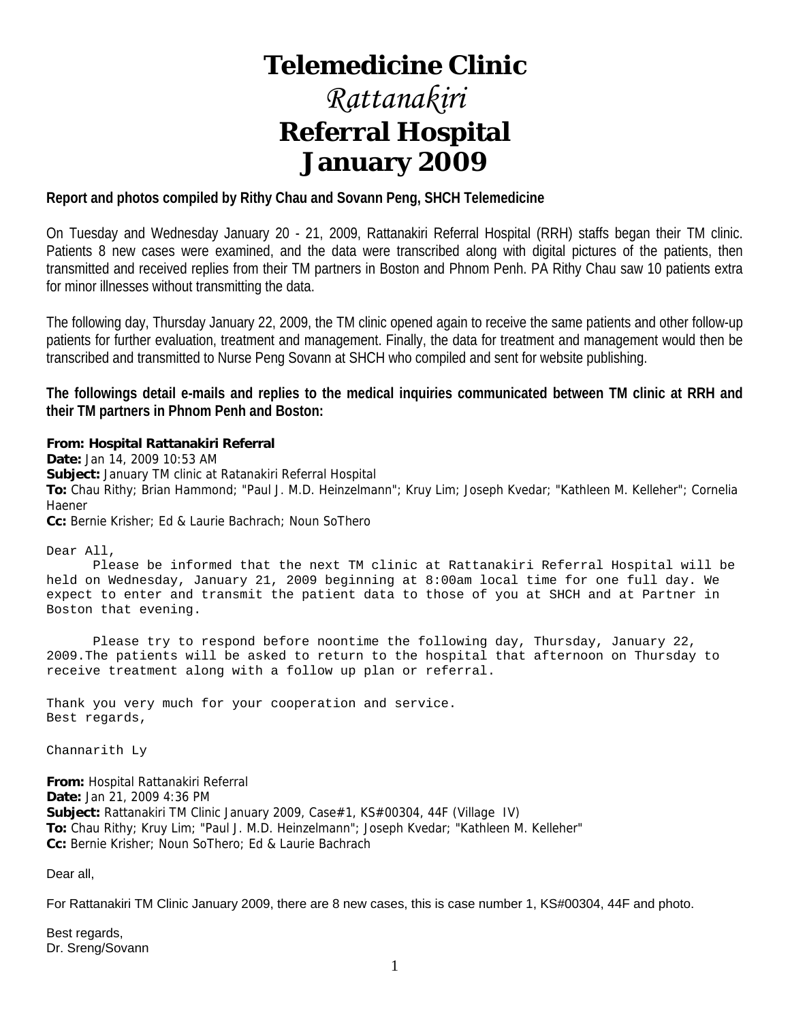# **Telemedicine Clinic**

# *Rattanakiri*  **Referral Hospital January 2009**

## **Report and photos compiled by Rithy Chau and Sovann Peng, SHCH Telemedicine**

On Tuesday and Wednesday January 20 - 21, 2009, Rattanakiri Referral Hospital (RRH) staffs began their TM clinic. Patients 8 new cases were examined, and the data were transcribed along with digital pictures of the patients, then transmitted and received replies from their TM partners in Boston and Phnom Penh. PA Rithy Chau saw 10 patients extra for minor illnesses without transmitting the data.

The following day, Thursday January 22, 2009, the TM clinic opened again to receive the same patients and other follow-up patients for further evaluation, treatment and management. Finally, the data for treatment and management would then be transcribed and transmitted to Nurse Peng Sovann at SHCH who compiled and sent for website publishing.

**The followings detail e-mails and replies to the medical inquiries communicated between TM clinic at RRH and their TM partners in Phnom Penh and Boston:** 

#### **From: Hospital Rattanakiri Referral**

**Date:** Jan 14, 2009 10:53 AM **Subject:** January TM clinic at Ratanakiri Referral Hospital **To:** Chau Rithy; Brian Hammond; "Paul J. M.D. Heinzelmann"; Kruy Lim; Joseph Kvedar; "Kathleen M. Kelleher"; Cornelia Haener **Cc:** Bernie Krisher; Ed & Laurie Bachrach; Noun SoThero

Dear All,

 Please be informed that the next TM clinic at Rattanakiri Referral Hospital will be held on Wednesday, January 21, 2009 beginning at 8:00am local time for one full day. We expect to enter and transmit the patient data to those of you at SHCH and at Partner in Boston that evening.

 Please try to respond before noontime the following day, Thursday, January 22, 2009.The patients will be asked to return to the hospital that afternoon on Thursday to receive treatment along with a follow up plan or referral.

Thank you very much for your cooperation and service. Best regards,

Channarith Ly

**From:** Hospital Rattanakiri Referral **Date:** Jan 21, 2009 4:36 PM **Subject:** Rattanakiri TM Clinic January 2009, Case#1, KS#00304, 44F (Village IV) **To:** Chau Rithy; Kruy Lim; "Paul J. M.D. Heinzelmann"; Joseph Kvedar; "Kathleen M. Kelleher" **Cc:** Bernie Krisher; Noun SoThero; Ed & Laurie Bachrach

Dear all,

For Rattanakiri TM Clinic January 2009, there are 8 new cases, this is case number 1, KS#00304, 44F and photo.

Best regards, Dr. Sreng/Sovann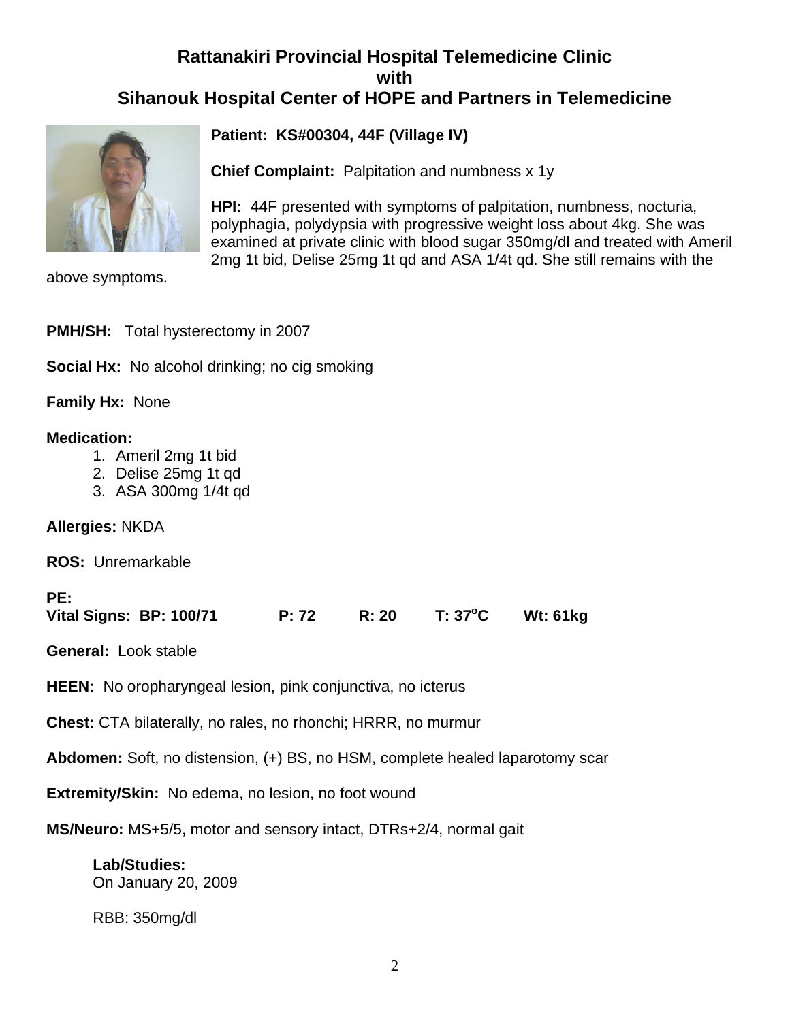# **Rattanakiri Provincial Hospital Telemedicine Clinic with Sihanouk Hospital Center of HOPE and Partners in Telemedicine**



**Patient: KS#00304, 44F (Village IV)**

**Chief Complaint:** Palpitation and numbness x 1y

**HPI:** 44F presented with symptoms of palpitation, numbness, nocturia, polyphagia, polydypsia with progressive weight loss about 4kg. She was examined at private clinic with blood sugar 350mg/dl and treated with Ameril 2mg 1t bid, Delise 25mg 1t qd and ASA 1/4t qd. She still remains with the

above symptoms.

| <b>PMH/SH:</b> Total hysterectomy in 2007                                                  |
|--------------------------------------------------------------------------------------------|
| <b>Social Hx:</b> No alcohol drinking; no cig smoking                                      |
| <b>Family Hx: None</b>                                                                     |
| <b>Medication:</b><br>1. Ameril 2mg 1t bid<br>2. Delise 25mg 1t gd<br>3. ASA 300mg 1/4t gd |
| <b>Allergies: NKDA</b>                                                                     |
| <b>ROS: Unremarkable</b>                                                                   |
|                                                                                            |

| $T: 37^{\circ}$ C<br><b>Wt: 61kg</b><br>Vital Signs: BP: 100/71<br>R: 20 |
|--------------------------------------------------------------------------|
|--------------------------------------------------------------------------|

**General:** Look stable

**HEEN:** No oropharyngeal lesion, pink conjunctiva, no icterus

**Chest:** CTA bilaterally, no rales, no rhonchi; HRRR, no murmur

**Abdomen:** Soft, no distension, (+) BS, no HSM, complete healed laparotomy scar

**Extremity/Skin:** No edema, no lesion, no foot wound

**MS/Neuro:** MS+5/5, motor and sensory intact, DTRs+2/4, normal gait

**Lab/Studies:**  On January 20, 2009

RBB: 350mg/dl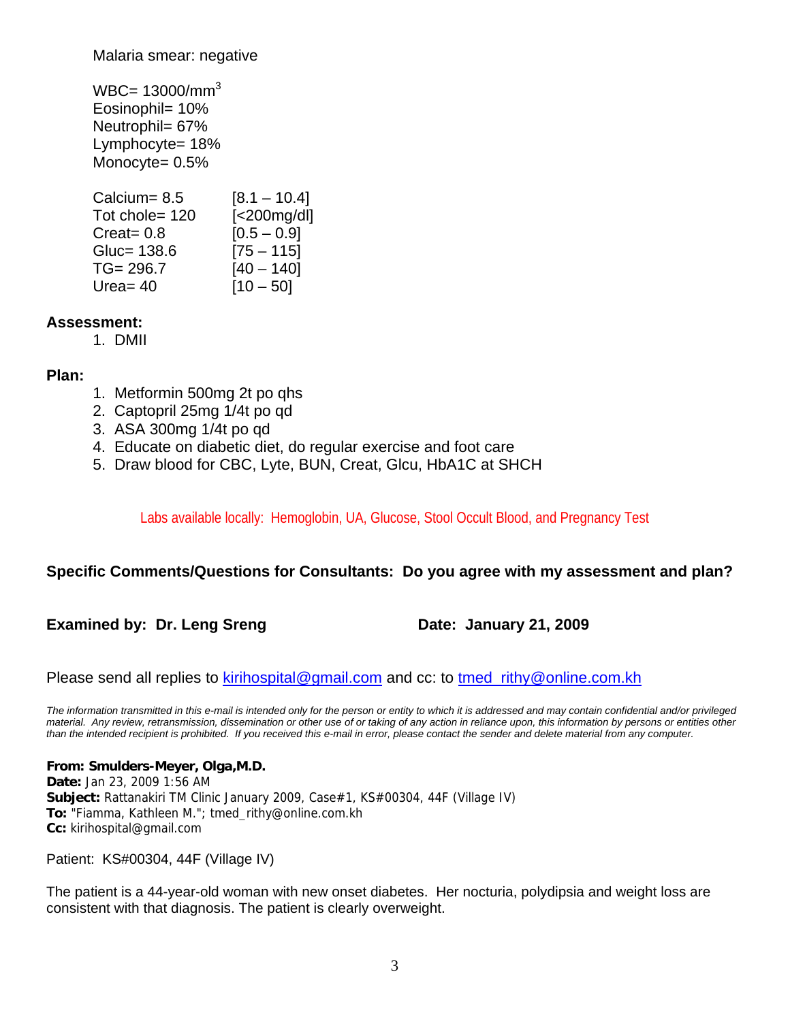Malaria smear: negative

 $WBC = 13000/mm^3$ Eosinophil= 10% Neutrophil= 67% Lymphocyte= 18% Monocyte= 0.5%

| Calcium= $8.5$ | $[8.1 - 10.4]$    |
|----------------|-------------------|
| Tot chole= 120 | $[<$ 200 $mg/dl]$ |
| Create 0.8     | $[0.5 - 0.9]$     |
| Gluc= 138.6    | $[75 - 115]$      |
| $TG = 296.7$   | $[40 - 140]$      |
| Urea $=$ 40    | $[10 - 50]$       |

## **Assessment:**

1. DMII

## **Plan:**

- 1. Metformin 500mg 2t po qhs
- 2. Captopril 25mg 1/4t po qd
- 3. ASA 300mg 1/4t po qd
- 4. Educate on diabetic diet, do regular exercise and foot care
- 5. Draw blood for CBC, Lyte, BUN, Creat, Glcu, HbA1C at SHCH

Labs available locally: Hemoglobin, UA, Glucose, Stool Occult Blood, and Pregnancy Test

## **Specific Comments/Questions for Consultants: Do you agree with my assessment and plan?**

**Examined by: Dr. Leng Sreng Date: January 21, 2009** 

Please send all replies to **kirihospital@gmail.com** and cc: to tmed\_rithy@online.com.kh

*The information transmitted in this e-mail is intended only for the person or entity to which it is addressed and may contain confidential and/or privileged material. Any review, retransmission, dissemination or other use of or taking of any action in reliance upon, this information by persons or entities other than the intended recipient is prohibited. If you received this e-mail in error, please contact the sender and delete material from any computer.*

**From: Smulders-Meyer, Olga,M.D. Date:** Jan 23, 2009 1:56 AM Subject: Rattanakiri TM Clinic January 2009, Case#1, KS#00304, 44F (Village IV) **To:** "Fiamma, Kathleen M."; tmed\_rithy@online.com.kh **Cc:** kirihospital@gmail.com

Patient: KS#00304, 44F (Village IV)

The patient is a 44-year-old woman with new onset diabetes. Her nocturia, polydipsia and weight loss are consistent with that diagnosis. The patient is clearly overweight.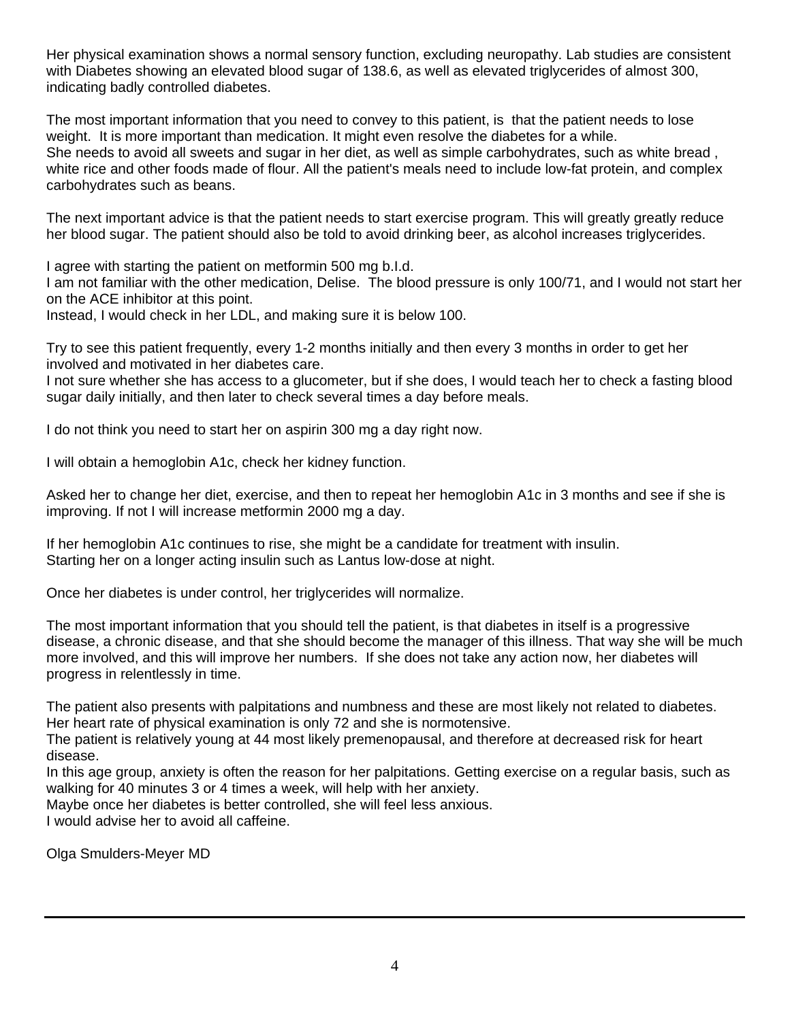Her physical examination shows a normal sensory function, excluding neuropathy. Lab studies are consistent with Diabetes showing an elevated blood sugar of 138.6, as well as elevated triglycerides of almost 300, indicating badly controlled diabetes.

The most important information that you need to convey to this patient, is that the patient needs to lose weight. It is more important than medication. It might even resolve the diabetes for a while. She needs to avoid all sweets and sugar in her diet, as well as simple carbohydrates, such as white bread , white rice and other foods made of flour. All the patient's meals need to include low-fat protein, and complex carbohydrates such as beans.

The next important advice is that the patient needs to start exercise program. This will greatly greatly reduce her blood sugar. The patient should also be told to avoid drinking beer, as alcohol increases triglycerides.

I agree with starting the patient on metformin 500 mg b.I.d.

I am not familiar with the other medication, Delise. The blood pressure is only 100/71, and I would not start her on the ACE inhibitor at this point.

Instead, I would check in her LDL, and making sure it is below 100.

Try to see this patient frequently, every 1-2 months initially and then every 3 months in order to get her involved and motivated in her diabetes care.

I not sure whether she has access to a glucometer, but if she does, I would teach her to check a fasting blood sugar daily initially, and then later to check several times a day before meals.

I do not think you need to start her on aspirin 300 mg a day right now.

I will obtain a hemoglobin A1c, check her kidney function.

Asked her to change her diet, exercise, and then to repeat her hemoglobin A1c in 3 months and see if she is improving. If not I will increase metformin 2000 mg a day.

If her hemoglobin A1c continues to rise, she might be a candidate for treatment with insulin. Starting her on a longer acting insulin such as Lantus low-dose at night.

Once her diabetes is under control, her triglycerides will normalize.

The most important information that you should tell the patient, is that diabetes in itself is a progressive disease, a chronic disease, and that she should become the manager of this illness. That way she will be much more involved, and this will improve her numbers. If she does not take any action now, her diabetes will progress in relentlessly in time.

The patient also presents with palpitations and numbness and these are most likely not related to diabetes. Her heart rate of physical examination is only 72 and she is normotensive.

The patient is relatively young at 44 most likely premenopausal, and therefore at decreased risk for heart disease.

In this age group, anxiety is often the reason for her palpitations. Getting exercise on a regular basis, such as walking for 40 minutes 3 or 4 times a week, will help with her anxiety.

Maybe once her diabetes is better controlled, she will feel less anxious.

I would advise her to avoid all caffeine.

Olga Smulders-Meyer MD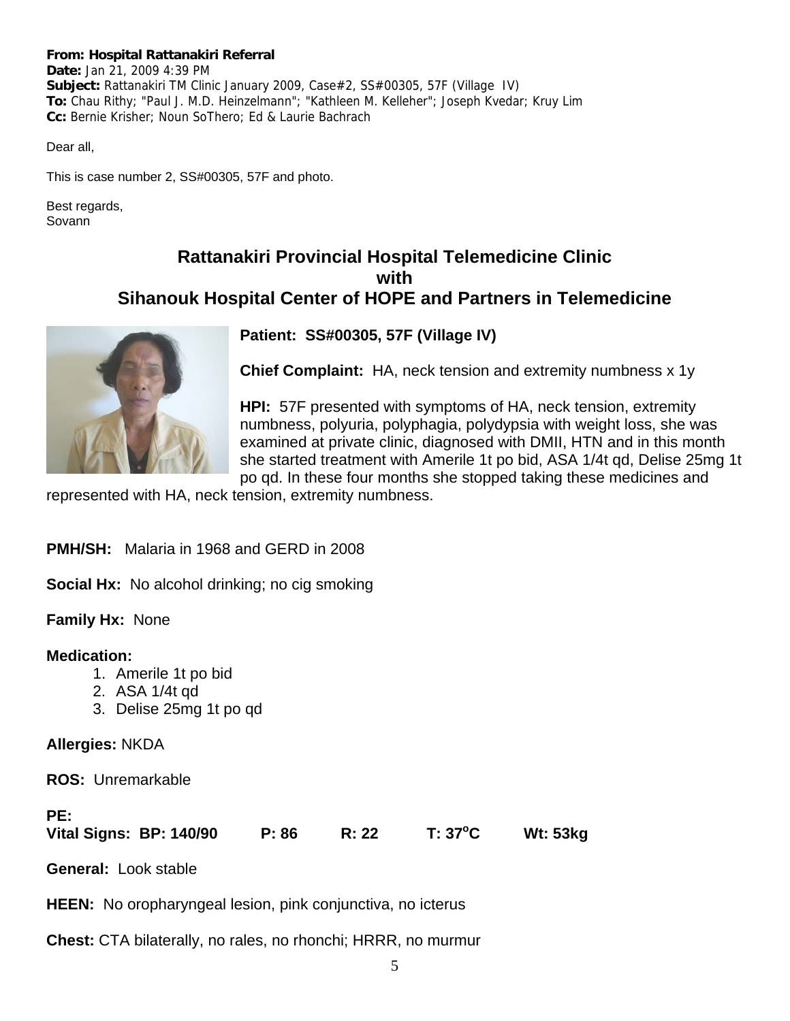#### **From: Hospital Rattanakiri Referral**

**Date:** Jan 21, 2009 4:39 PM **Subject:** Rattanakiri TM Clinic January 2009, Case#2, SS#00305, 57F (Village IV) **To:** Chau Rithy; "Paul J. M.D. Heinzelmann"; "Kathleen M. Kelleher"; Joseph Kvedar; Kruy Lim **Cc:** Bernie Krisher; Noun SoThero; Ed & Laurie Bachrach

Dear all,

This is case number 2, SS#00305, 57F and photo.

Best regards, Sovann

## **Rattanakiri Provincial Hospital Telemedicine Clinic with Sihanouk Hospital Center of HOPE and Partners in Telemedicine**



## **Patient: SS#00305, 57F (Village IV)**

**Chief Complaint:** HA, neck tension and extremity numbness x 1y

**HPI:** 57F presented with symptoms of HA, neck tension, extremity numbness, polyuria, polyphagia, polydypsia with weight loss, she was examined at private clinic, diagnosed with DMII, HTN and in this month she started treatment with Amerile 1t po bid, ASA 1/4t qd, Delise 25mg 1t po qd. In these four months she stopped taking these medicines and

represented with HA, neck tension, extremity numbness.

**PMH/SH:** Malaria in 1968 and GERD in 2008

**Social Hx:** No alcohol drinking; no cig smoking

**Family Hx:** None

#### **Medication:**

- 1. Amerile 1t po bid
- 2. ASA 1/4t qd
- 3. Delise 25mg 1t po qd

## **Allergies:** NKDA

**ROS:** Unremarkable

#### **PE:**

|  | Vital Signs: BP: 140/90 |  | P: 86 | R: 22 | $T: 37^{\circ}C$ | <b>Wt: 53kg</b> |
|--|-------------------------|--|-------|-------|------------------|-----------------|
|--|-------------------------|--|-------|-------|------------------|-----------------|

**General:** Look stable

**HEEN:** No oropharyngeal lesion, pink conjunctiva, no icterus

**Chest:** CTA bilaterally, no rales, no rhonchi; HRRR, no murmur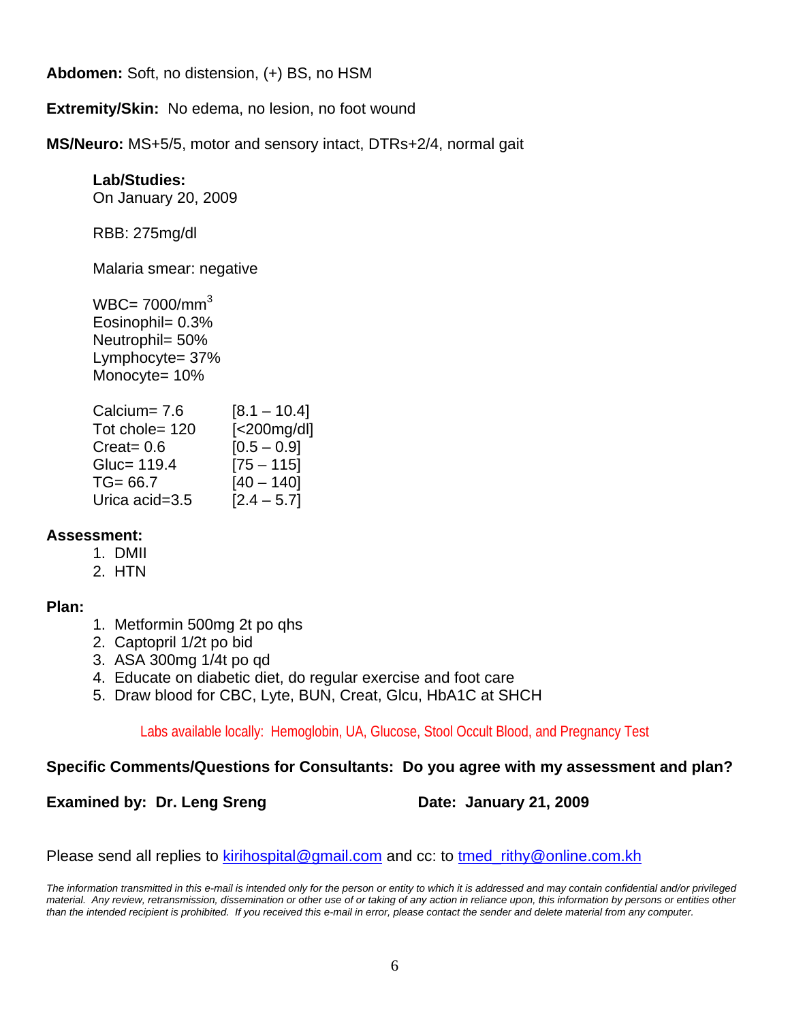**Abdomen:** Soft, no distension, (+) BS, no HSM

**Extremity/Skin:** No edema, no lesion, no foot wound

**MS/Neuro:** MS+5/5, motor and sensory intact, DTRs+2/4, normal gait

## **Lab/Studies:**

On January 20, 2009

RBB: 275mg/dl

Malaria smear: negative

 $WBC = 7000/mm<sup>3</sup>$ Eosinophil= 0.3% Neutrophil= 50% Lymphocyte= 37% Monocyte= 10%

| Calcium= 7.6   | $[8.1 - 10.4]$    |
|----------------|-------------------|
| Tot chole= 120 | $[<$ 200 $mg/dl]$ |
| Create 0.6     | $[0.5 - 0.9]$     |
| Gluc= 119.4    | $[75 - 115]$      |
| $TG = 66.7$    | $[40 - 140]$      |
| Urica acid=3.5 | $[2.4 - 5.7]$     |

## **Assessment:**

- 1. DMII
- 2. HTN

## **Plan:**

- 1. Metformin 500mg 2t po qhs
- 2. Captopril 1/2t po bid
- 3. ASA 300mg 1/4t po qd
- 4. Educate on diabetic diet, do regular exercise and foot care
- 5. Draw blood for CBC, Lyte, BUN, Creat, Glcu, HbA1C at SHCH

Labs available locally: Hemoglobin, UA, Glucose, Stool Occult Blood, and Pregnancy Test

## **Specific Comments/Questions for Consultants: Do you agree with my assessment and plan?**

**Examined by: Dr. Leng Sreng Date: January 21, 2009** 

Please send all replies to **kirihospital@gmail.com** and cc: to tmed\_rithy@online.com.kh

*The information transmitted in this e-mail is intended only for the person or entity to which it is addressed and may contain confidential and/or privileged material. Any review, retransmission, dissemination or other use of or taking of any action in reliance upon, this information by persons or entities other than the intended recipient is prohibited. If you received this e-mail in error, please contact the sender and delete material from any computer.*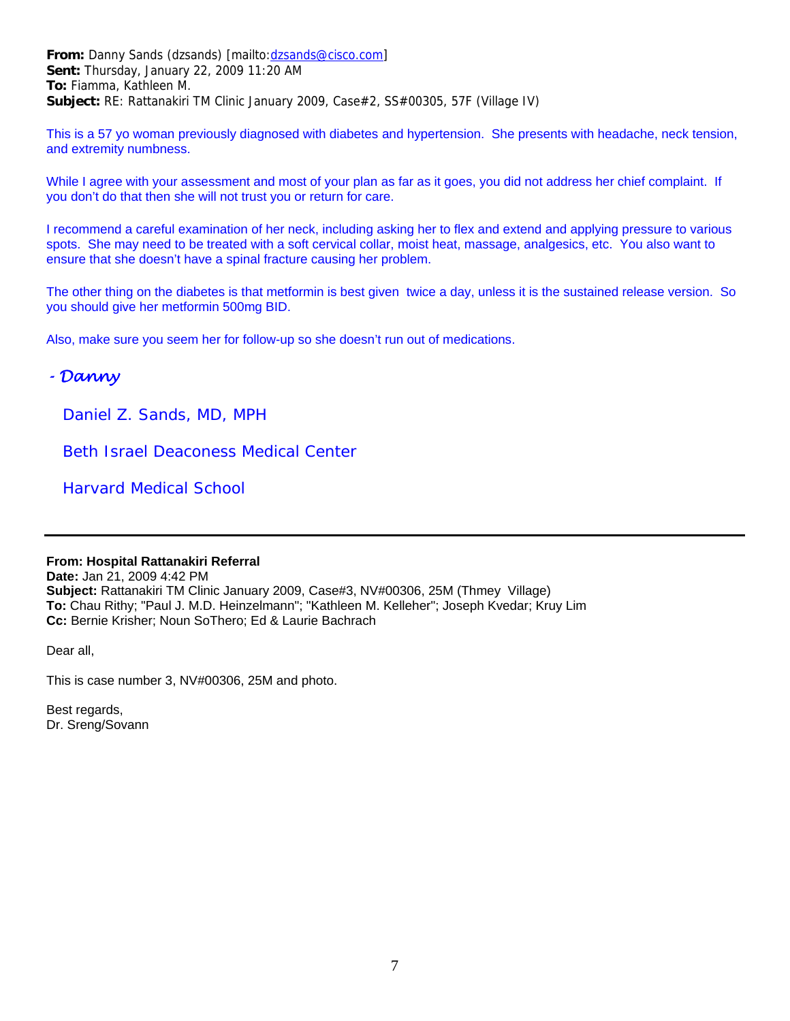**From:** Danny Sands (dzsands) [mailto:dzsands@cisco.com] **Sent:** Thursday, January 22, 2009 11:20 AM **To:** Fiamma, Kathleen M. **Subject:** RE: Rattanakiri TM Clinic January 2009, Case#2, SS#00305, 57F (Village IV)

This is a 57 yo woman previously diagnosed with diabetes and hypertension. She presents with headache, neck tension, and extremity numbness.

While I agree with your assessment and most of your plan as far as it goes, you did not address her chief complaint. If you don't do that then she will not trust you or return for care.

I recommend a careful examination of her neck, including asking her to flex and extend and applying pressure to various spots. She may need to be treated with a soft cervical collar, moist heat, massage, analgesics, etc. You also want to ensure that she doesn't have a spinal fracture causing her problem.

The other thing on the diabetes is that metformin is best given twice a day, unless it is the sustained release version. So you should give her metformin 500mg BID.

Also, make sure you seem her for follow-up so she doesn't run out of medications.

## *- Danny*

 *Daniel Z. Sands, MD, MPH*

 *Beth Israel Deaconess Medical Center*

 *Harvard Medical School*

#### **From: Hospital Rattanakiri Referral**

**Date:** Jan 21, 2009 4:42 PM **Subject:** Rattanakiri TM Clinic January 2009, Case#3, NV#00306, 25M (Thmey Village) **To:** Chau Rithy; "Paul J. M.D. Heinzelmann"; "Kathleen M. Kelleher"; Joseph Kvedar; Kruy Lim **Cc:** Bernie Krisher; Noun SoThero; Ed & Laurie Bachrach

Dear all,

This is case number 3, NV#00306, 25M and photo.

Best regards, Dr. Sreng/Sovann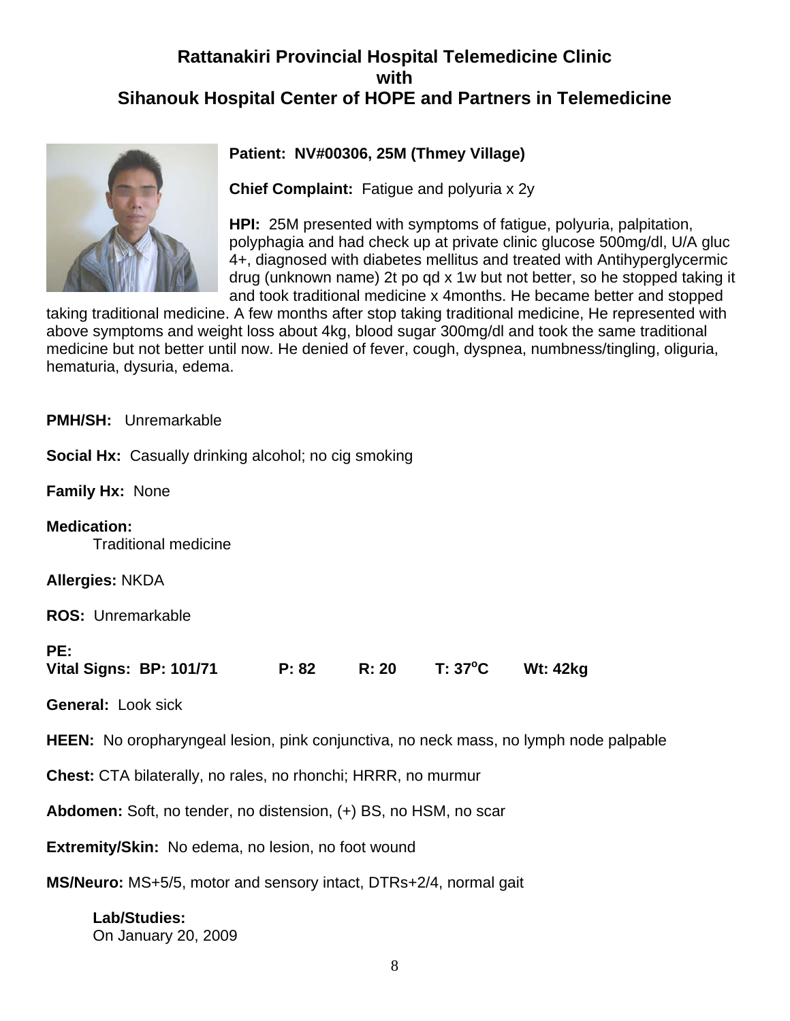## **Rattanakiri Provincial Hospital Telemedicine Clinic with Sihanouk Hospital Center of HOPE and Partners in Telemedicine**



## **Patient: NV#00306, 25M (Thmey Village)**

**Chief Complaint:** Fatigue and polyuria x 2y

**HPI:** 25M presented with symptoms of fatigue, polyuria, palpitation, polyphagia and had check up at private clinic glucose 500mg/dl, U/A gluc 4+, diagnosed with diabetes mellitus and treated with Antihyperglycermic drug (unknown name) 2t po qd x 1w but not better, so he stopped taking it and took traditional medicine x 4months. He became better and stopped

taking traditional medicine. A few months after stop taking traditional medicine, He represented with above symptoms and weight loss about 4kg, blood sugar 300mg/dl and took the same traditional medicine but not better until now. He denied of fever, cough, dyspnea, numbness/tingling, oliguria, hematuria, dysuria, edema.

**PMH/SH:** Unremarkable

**Social Hx:** Casually drinking alcohol; no cig smoking

**Family Hx:** None

**Medication:** Traditional medicine

**Allergies:** NKDA

**ROS:** Unremarkable

## **PE:**

|  | Vital Signs: BP: 101/71 | P: 82 | R: 20 | $T: 37^{\circ}C$ | <b>Wt: 42kg</b> |
|--|-------------------------|-------|-------|------------------|-----------------|
|--|-------------------------|-------|-------|------------------|-----------------|

**General:** Look sick

**HEEN:** No oropharyngeal lesion, pink conjunctiva, no neck mass, no lymph node palpable

**Chest:** CTA bilaterally, no rales, no rhonchi; HRRR, no murmur

**Abdomen:** Soft, no tender, no distension, (+) BS, no HSM, no scar

**Extremity/Skin:** No edema, no lesion, no foot wound

**MS/Neuro:** MS+5/5, motor and sensory intact, DTRs+2/4, normal gait

## **Lab/Studies:**  On January 20, 2009

8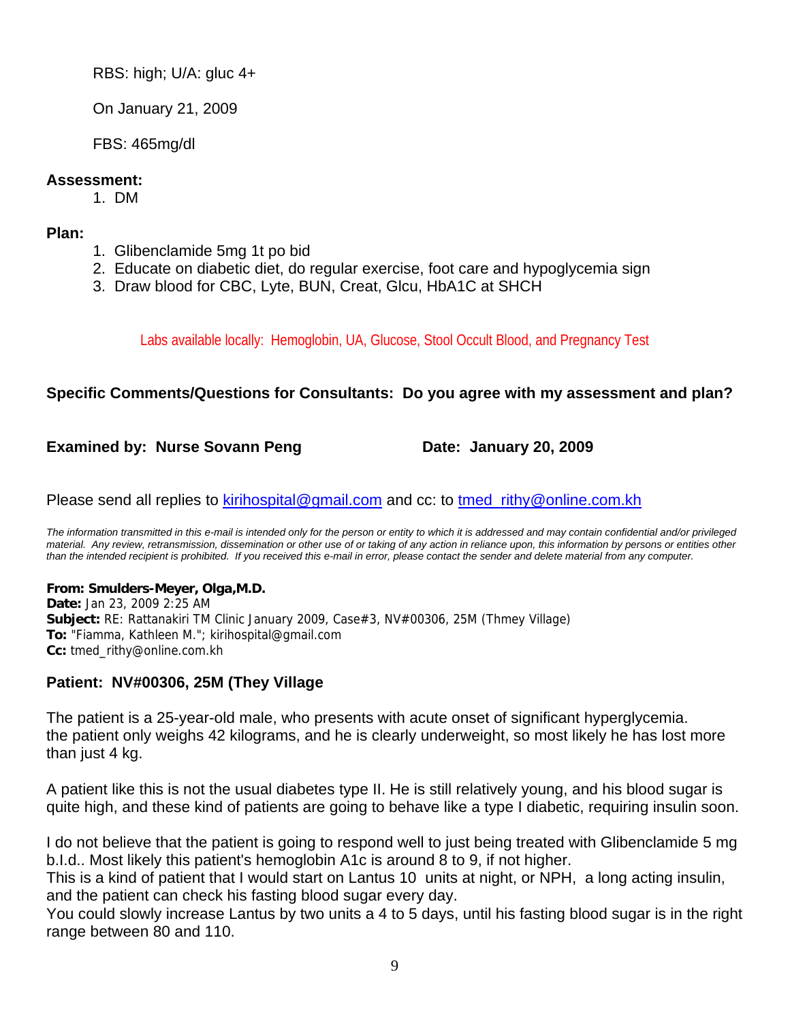RBS: high; U/A: gluc 4+

On January 21, 2009

FBS: 465mg/dl

## **Assessment:**

1. DM

## **Plan:**

- 1. Glibenclamide 5mg 1t po bid
- 2. Educate on diabetic diet, do regular exercise, foot care and hypoglycemia sign
- 3. Draw blood for CBC, Lyte, BUN, Creat, Glcu, HbA1C at SHCH

Labs available locally: Hemoglobin, UA, Glucose, Stool Occult Blood, and Pregnancy Test

## **Specific Comments/Questions for Consultants: Do you agree with my assessment and plan?**

## **Examined by: Nurse Sovann Peng Date: January 20, 2009**

Please send all replies to kirihospital@gmail.com and cc: to tmed\_rithy@online.com.kh

*The information transmitted in this e-mail is intended only for the person or entity to which it is addressed and may contain confidential and/or privileged material. Any review, retransmission, dissemination or other use of or taking of any action in reliance upon, this information by persons or entities other than the intended recipient is prohibited. If you received this e-mail in error, please contact the sender and delete material from any computer.*

## **From: Smulders-Meyer, Olga,M.D.**

**Date:** Jan 23, 2009 2:25 AM **Subject:** RE: Rattanakiri TM Clinic January 2009, Case#3, NV#00306, 25M (Thmey Village) **To:** "Fiamma, Kathleen M."; kirihospital@gmail.com **Cc:** tmed\_rithy@online.com.kh

## **Patient: NV#00306, 25M (They Village**

The patient is a 25-year-old male, who presents with acute onset of significant hyperglycemia. the patient only weighs 42 kilograms, and he is clearly underweight, so most likely he has lost more than just 4 kg.

A patient like this is not the usual diabetes type II. He is still relatively young, and his blood sugar is quite high, and these kind of patients are going to behave like a type I diabetic, requiring insulin soon.

I do not believe that the patient is going to respond well to just being treated with Glibenclamide 5 mg b.I.d.. Most likely this patient's hemoglobin A1c is around 8 to 9, if not higher.

This is a kind of patient that I would start on Lantus 10 units at night, or NPH, a long acting insulin, and the patient can check his fasting blood sugar every day.

You could slowly increase Lantus by two units a 4 to 5 days, until his fasting blood sugar is in the right range between 80 and 110.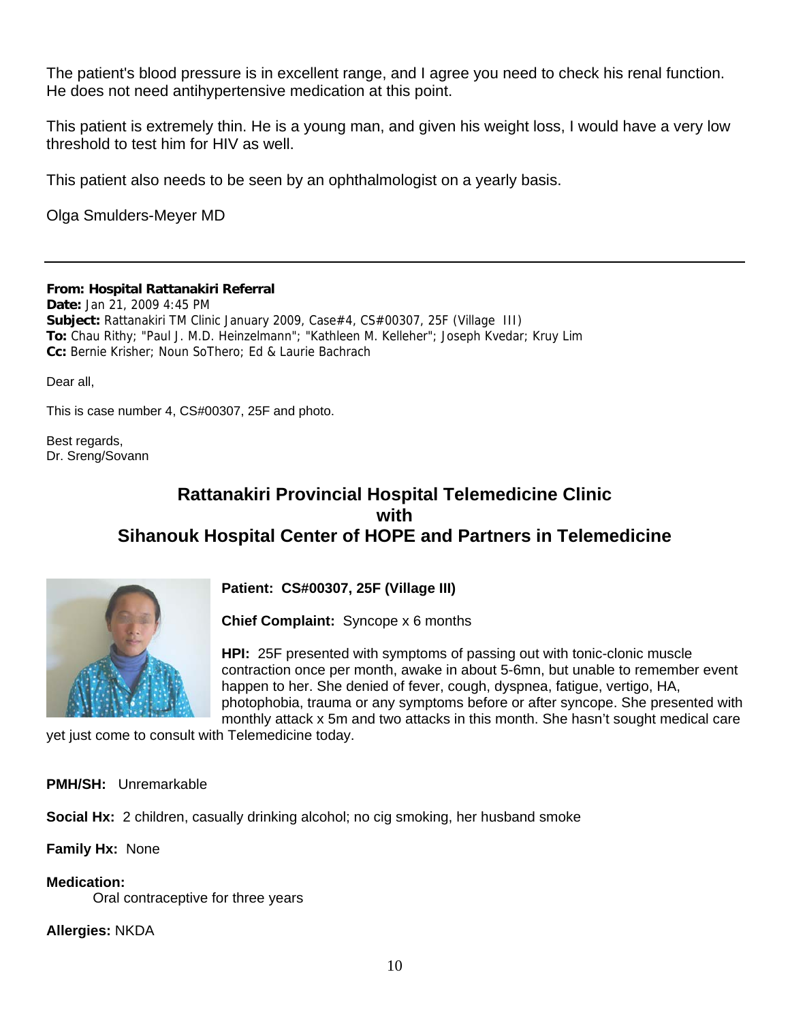The patient's blood pressure is in excellent range, and I agree you need to check his renal function. He does not need antihypertensive medication at this point.

This patient is extremely thin. He is a young man, and given his weight loss, I would have a very low threshold to test him for HIV as well.

This patient also needs to be seen by an ophthalmologist on a yearly basis.

Olga Smulders-Meyer MD

**From: Hospital Rattanakiri Referral**

**Date:** Jan 21, 2009 4:45 PM **Subject:** Rattanakiri TM Clinic January 2009, Case#4, CS#00307, 25F (Village III) **To:** Chau Rithy; "Paul J. M.D. Heinzelmann"; "Kathleen M. Kelleher"; Joseph Kvedar; Kruy Lim **Cc:** Bernie Krisher; Noun SoThero; Ed & Laurie Bachrach

Dear all,

This is case number 4, CS#00307, 25F and photo.

Best regards, Dr. Sreng/Sovann

## **Rattanakiri Provincial Hospital Telemedicine Clinic with Sihanouk Hospital Center of HOPE and Partners in Telemedicine**



**Patient: CS#00307, 25F (Village III)**

**Chief Complaint:** Syncope x 6 months

**HPI:** 25F presented with symptoms of passing out with tonic-clonic muscle contraction once per month, awake in about 5-6mn, but unable to remember event happen to her. She denied of fever, cough, dyspnea, fatigue, vertigo, HA, photophobia, trauma or any symptoms before or after syncope. She presented with monthly attack x 5m and two attacks in this month. She hasn't sought medical care

yet just come to consult with Telemedicine today.

**PMH/SH:** Unremarkable

**Social Hx:** 2 children, casually drinking alcohol; no cig smoking, her husband smoke

**Family Hx:** None

**Medication:**

Oral contraceptive for three years

**Allergies:** NKDA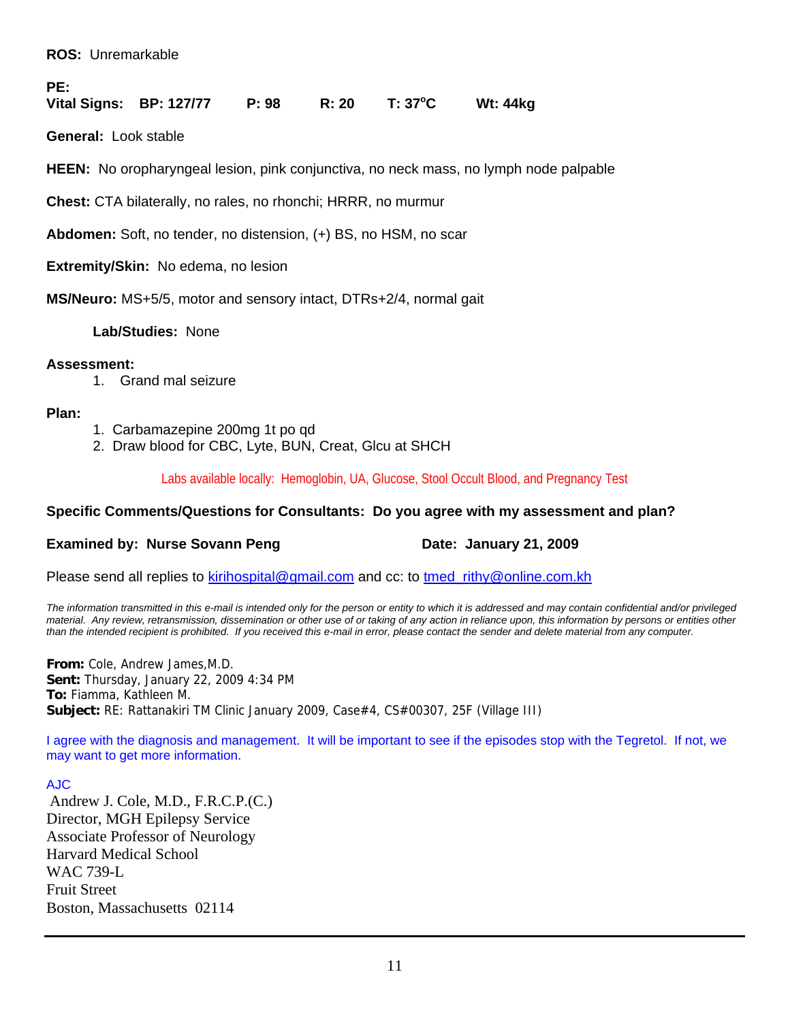#### **ROS:** Unremarkable

#### **PE:**

**Vital Signs: BP: 127/77 P: 98 R: 20 T: 37o C Wt: 44kg** 

**General:** Look stable

**HEEN:** No oropharyngeal lesion, pink conjunctiva, no neck mass, no lymph node palpable

**Chest:** CTA bilaterally, no rales, no rhonchi; HRRR, no murmur

**Abdomen:** Soft, no tender, no distension, (+) BS, no HSM, no scar

**Extremity/Skin:** No edema, no lesion

**MS/Neuro:** MS+5/5, motor and sensory intact, DTRs+2/4, normal gait

**Lab/Studies:** None

#### **Assessment:**

1. Grand mal seizure

#### **Plan:**

- 1. Carbamazepine 200mg 1t po qd
- 2. Draw blood for CBC, Lyte, BUN, Creat, Glcu at SHCH

Labs available locally: Hemoglobin, UA, Glucose, Stool Occult Blood, and Pregnancy Test

## **Specific Comments/Questions for Consultants: Do you agree with my assessment and plan?**

## **Examined by: Nurse Sovann Peng Case Constructs Canuary 21, 2009**

Please send all replies to kirihospital@gmail.com and cc: to tmed rithy@online.com.kh

*The information transmitted in this e-mail is intended only for the person or entity to which it is addressed and may contain confidential and/or privileged material. Any review, retransmission, dissemination or other use of or taking of any action in reliance upon, this information by persons or entities other than the intended recipient is prohibited. If you received this e-mail in error, please contact the sender and delete material from any computer.*

**From:** Cole, Andrew James,M.D. **Sent:** Thursday, January 22, 2009 4:34 PM **To:** Fiamma, Kathleen M. **Subject:** RE: Rattanakiri TM Clinic January 2009, Case#4, CS#00307, 25F (Village III)

I agree with the diagnosis and management. It will be important to see if the episodes stop with the Tegretol. If not, we may want to get more information.

#### AJC

Andrew J. Cole, M.D., F.R.C.P.(C.) Director, MGH Epilepsy Service Associate Professor of Neurology Harvard Medical School WAC 739-L Fruit Street Boston, Massachusetts 02114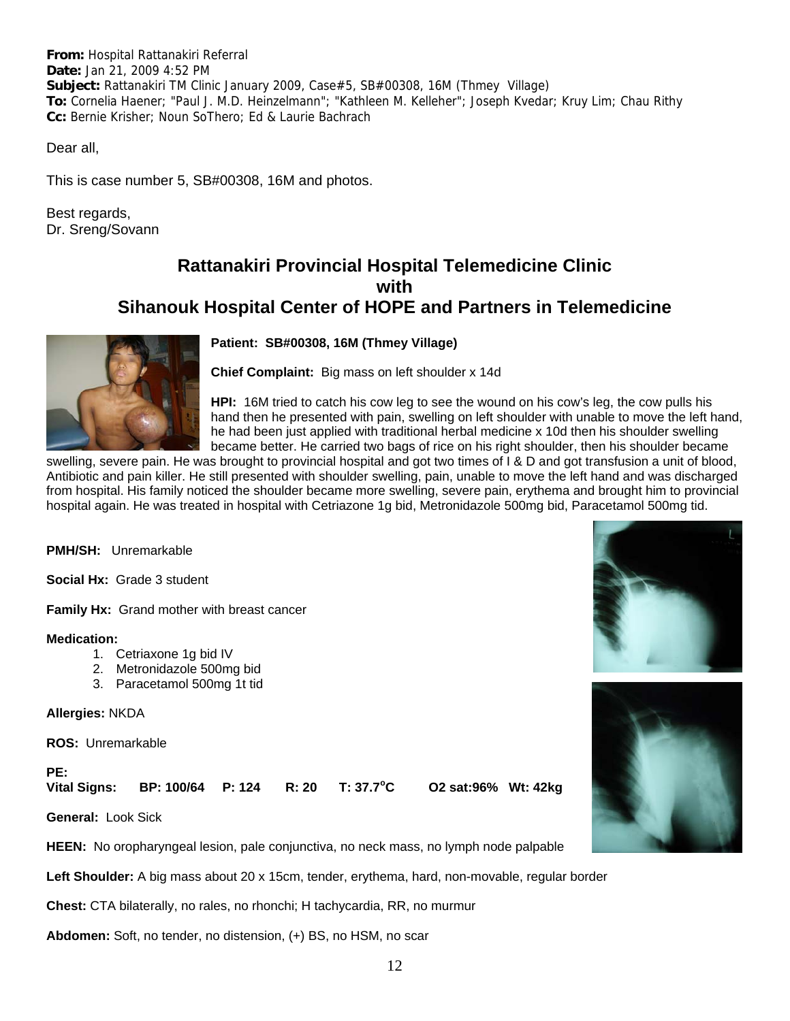**From:** Hospital Rattanakiri Referral **Date:** Jan 21, 2009 4:52 PM **Subject:** Rattanakiri TM Clinic January 2009, Case#5, SB#00308, 16M (Thmey Village) **To:** Cornelia Haener; "Paul J. M.D. Heinzelmann"; "Kathleen M. Kelleher"; Joseph Kvedar; Kruy Lim; Chau Rithy **Cc:** Bernie Krisher; Noun SoThero; Ed & Laurie Bachrach

Dear all,

This is case number 5, SB#00308, 16M and photos.

Best regards, Dr. Sreng/Sovann

## **Rattanakiri Provincial Hospital Telemedicine Clinic with Sihanouk Hospital Center of HOPE and Partners in Telemedicine**



**Patient: SB#00308, 16M (Thmey Village)**

**Chief Complaint:** Big mass on left shoulder x 14d

**HPI:** 16M tried to catch his cow leg to see the wound on his cow's leg, the cow pulls his hand then he presented with pain, swelling on left shoulder with unable to move the left hand, he had been just applied with traditional herbal medicine x 10d then his shoulder swelling became better. He carried two bags of rice on his right shoulder, then his shoulder became

swelling, severe pain. He was brought to provincial hospital and got two times of I & D and got transfusion a unit of blood, Antibiotic and pain killer. He still presented with shoulder swelling, pain, unable to move the left hand and was discharged from hospital. His family noticed the shoulder became more swelling, severe pain, erythema and brought him to provincial hospital again. He was treated in hospital with Cetriazone 1g bid, Metronidazole 500mg bid, Paracetamol 500mg tid.

**PMH/SH:** Unremarkable

**Social Hx:** Grade 3 student

**Family Hx:** Grand mother with breast cancer

#### **Medication:**

- 1. Cetriaxone 1g bid IV
- 2. Metronidazole 500mg bid
- 3. Paracetamol 500mg 1t tid

**Allergies:** NKDA

**ROS:** Unremarkable

PE:<br>Vital Signs: **Vital Signs: BP: 100/64 P: 124 R: 20 T: 37.7<sup>o</sup>**

**C O2 sat:96% Wt: 42kg** 

**General:** Look Sick

**HEEN:** No oropharyngeal lesion, pale conjunctiva, no neck mass, no lymph node palpable

**Left Shoulder:** A big mass about 20 x 15cm, tender, erythema, hard, non-movable, regular border

**Chest:** CTA bilaterally, no rales, no rhonchi; H tachycardia, RR, no murmur

**Abdomen:** Soft, no tender, no distension, (+) BS, no HSM, no scar



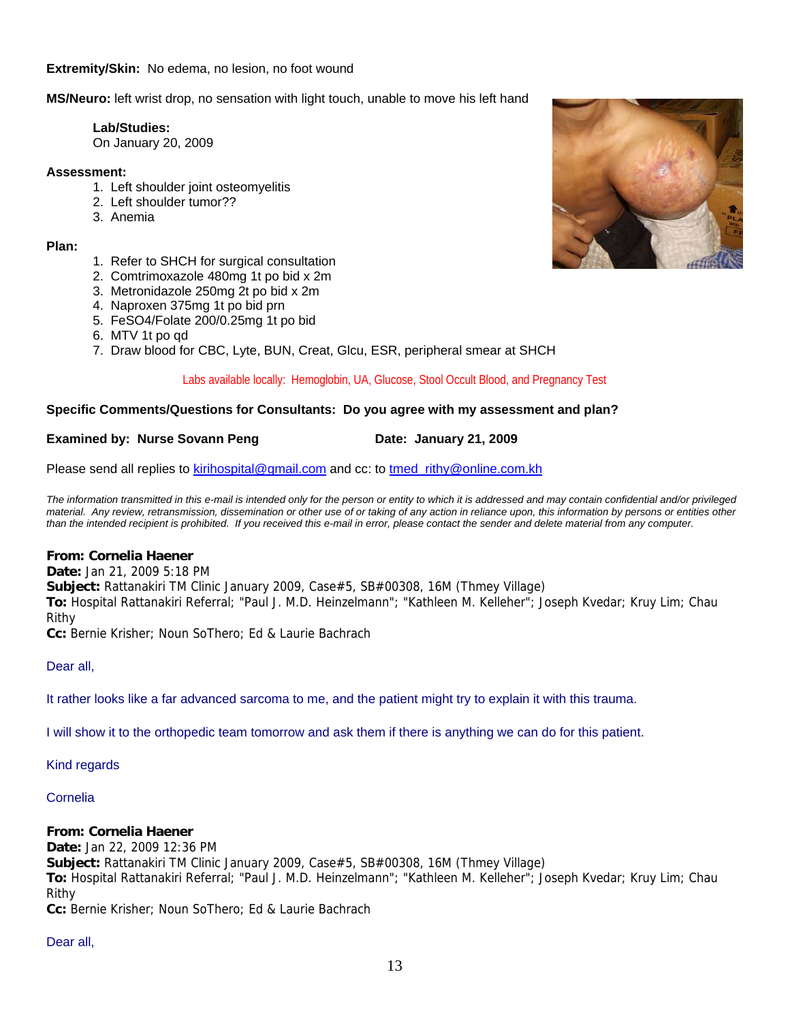**Extremity/Skin:** No edema, no lesion, no foot wound

**MS/Neuro:** left wrist drop, no sensation with light touch, unable to move his left hand

#### **Lab/Studies:**

On January 20, 2009

#### **Assessment:**

- 1. Left shoulder joint osteomyelitis
- 2. Left shoulder tumor??
- 3. Anemia

#### **Plan:**

- 1. Refer to SHCH for surgical consultation
- 2. Comtrimoxazole 480mg 1t po bid x 2m
- 3. Metronidazole 250mg 2t po bid x 2m
- 4. Naproxen 375mg 1t po bid prn
- 5. FeSO4/Folate 200/0.25mg 1t po bid
- 6. MTV 1t po qd
- 7. Draw blood for CBC, Lyte, BUN, Creat, Glcu, ESR, peripheral smear at SHCH

#### Labs available locally: Hemoglobin, UA, Glucose, Stool Occult Blood, and Pregnancy Test

#### **Specific Comments/Questions for Consultants: Do you agree with my assessment and plan?**

#### **Examined by: Nurse Sovann Peng Commence Constrained Date: January 21, 2009**

Please send all replies to kirihospital@gmail.com and cc: to tmed\_rithy@online.com.kh

*The information transmitted in this e-mail is intended only for the person or entity to which it is addressed and may contain confidential and/or privileged material. Any review, retransmission, dissemination or other use of or taking of any action in reliance upon, this information by persons or entities other than the intended recipient is prohibited. If you received this e-mail in error, please contact the sender and delete material from any computer.*

#### **From: Cornelia Haener**

**Date:** Jan 21, 2009 5:18 PM **Subject:** Rattanakiri TM Clinic January 2009, Case#5, SB#00308, 16M (Thmey Village) **To:** Hospital Rattanakiri Referral; "Paul J. M.D. Heinzelmann"; "Kathleen M. Kelleher"; Joseph Kvedar; Kruy Lim; Chau Rithy **Cc:** Bernie Krisher; Noun SoThero; Ed & Laurie Bachrach

Dear all,

It rather looks like a far advanced sarcoma to me, and the patient might try to explain it with this trauma.

I will show it to the orthopedic team tomorrow and ask them if there is anything we can do for this patient.

#### Kind regards

#### Cornelia

#### **From: Cornelia Haener**

**Date:** Jan 22, 2009 12:36 PM **Subject:** Rattanakiri TM Clinic January 2009, Case#5, SB#00308, 16M (Thmey Village) **To:** Hospital Rattanakiri Referral; "Paul J. M.D. Heinzelmann"; "Kathleen M. Kelleher"; Joseph Kvedar; Kruy Lim; Chau Rithy **Cc:** Bernie Krisher; Noun SoThero; Ed & Laurie Bachrach

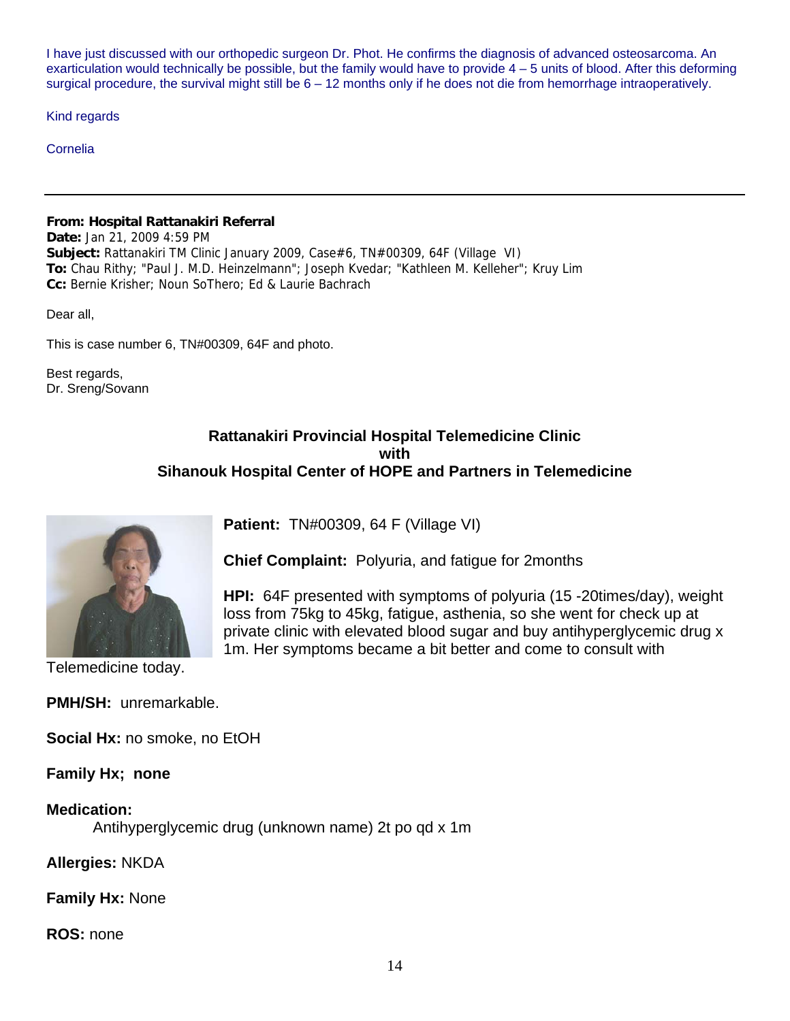I have just discussed with our orthopedic surgeon Dr. Phot. He confirms the diagnosis of advanced osteosarcoma. An exarticulation would technically be possible, but the family would have to provide  $4 - 5$  units of blood. After this deforming surgical procedure, the survival might still be  $6 - 12$  months only if he does not die from hemorrhage intraoperatively.

Kind regards

Cornelia

#### **From: Hospital Rattanakiri Referral**

**Date:** Jan 21, 2009 4:59 PM **Subject:** Rattanakiri TM Clinic January 2009, Case#6, TN#00309, 64F (Village VI) **To:** Chau Rithy; "Paul J. M.D. Heinzelmann"; Joseph Kvedar; "Kathleen M. Kelleher"; Kruy Lim **Cc:** Bernie Krisher; Noun SoThero; Ed & Laurie Bachrach

Dear all,

This is case number 6, TN#00309, 64F and photo.

Best regards, Dr. Sreng/Sovann

## **Rattanakiri Provincial Hospital Telemedicine Clinic with Sihanouk Hospital Center of HOPE and Partners in Telemedicine**

**Chief Complaint:** Polyuria, and fatigue for 2months

**HPI:** 64F presented with symptoms of polyuria (15 -20times/day), weight

1m. Her symptoms became a bit better and come to consult with

**Patient:** TN#00309, 64 F (Village VI)



loss from 75kg to 45kg, fatigue, asthenia, so she went for check up at private clinic with elevated blood sugar and buy antihyperglycemic drug x

Telemedicine today.

**PMH/SH:** unremarkable.

**Social Hx:** no smoke, no EtOH

**Family Hx; none** 

## **Medication:**

Antihyperglycemic drug (unknown name) 2t po qd x 1m

**Allergies:** NKDA

## **Family Hx:** None

## **ROS:** none

14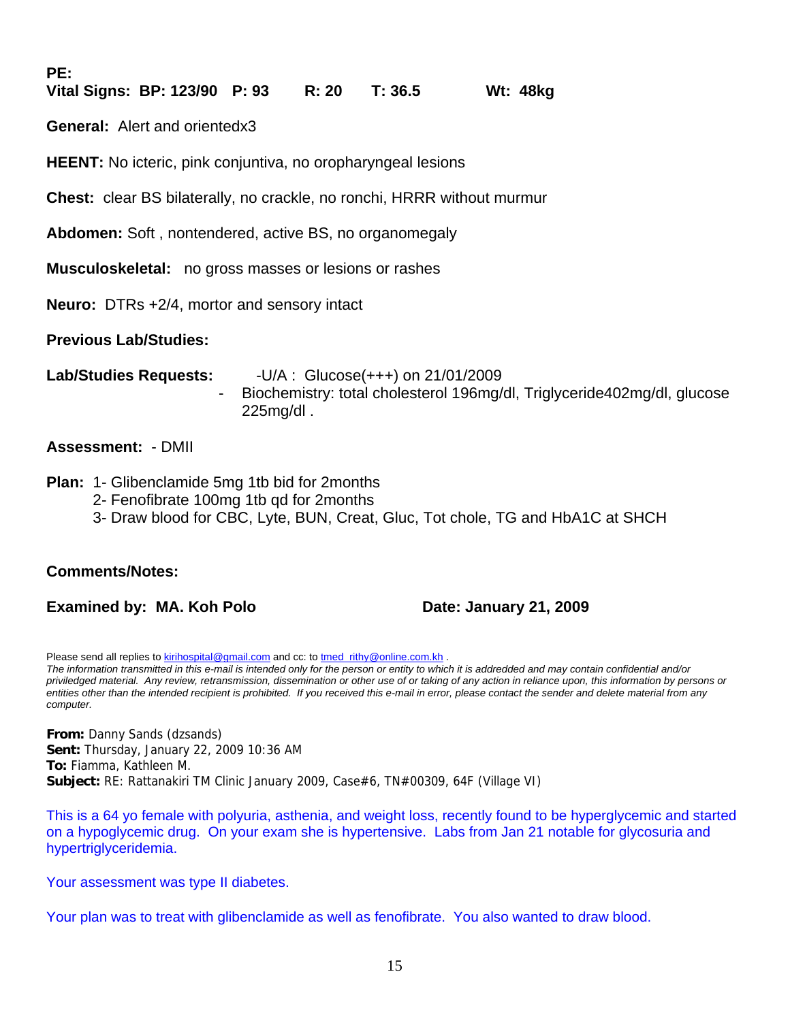**PE:** 

## **Vital Signs: BP: 123/90 P: 93 R: 20 T: 36.5 Wt: 48kg**

**General:** Alert and orientedx3

**HEENT:** No icteric, pink conjuntiva, no oropharyngeal lesions

**Chest:** clear BS bilaterally, no crackle, no ronchi, HRRR without murmur

**Abdomen:** Soft , nontendered, active BS, no organomegaly

**Musculoskeletal:** no gross masses or lesions or rashes

**Neuro:** DTRs +2/4, mortor and sensory intact

**Previous Lab/Studies:**

**Lab/Studies Requests:** -U/A : Glucose(+++) on 21/01/2009 - Biochemistry: total cholesterol 196mg/dl, Triglyceride402mg/dl, glucose 225mg/dl .

## **Assessment:** - DMII

#### **Plan:** 1- Glibenclamide 5mg 1tb bid for 2months

- 2- Fenofibrate 100mg 1tb qd for 2months
- 3- Draw blood for CBC, Lyte, BUN, Creat, Gluc, Tot chole, TG and HbA1C at SHCH

## **Comments/Notes:**

**Examined by: MA. Koh Polo Date: January 21, 2009** 

Please send all replies to kirihospital@gmail.com and cc: to tmed\_rithy@online.com.kh . *The information transmitted in this e-mail is intended only for the person or entity to which it is addredded and may contain confidential and/or priviledged material. Any review, retransmission, dissemination or other use of or taking of any action in reliance upon, this information by persons or entities other than the intended recipient is prohibited. If you received this e-mail in error, please contact the sender and delete material from any computer.*

**From:** Danny Sands (dzsands) **Sent:** Thursday, January 22, 2009 10:36 AM **To:** Fiamma, Kathleen M. **Subject:** RE: Rattanakiri TM Clinic January 2009, Case#6, TN#00309, 64F (Village VI)

This is a 64 yo female with polyuria, asthenia, and weight loss, recently found to be hyperglycemic and started on a hypoglycemic drug. On your exam she is hypertensive. Labs from Jan 21 notable for glycosuria and hypertriglyceridemia.

Your assessment was type II diabetes.

Your plan was to treat with glibenclamide as well as fenofibrate. You also wanted to draw blood.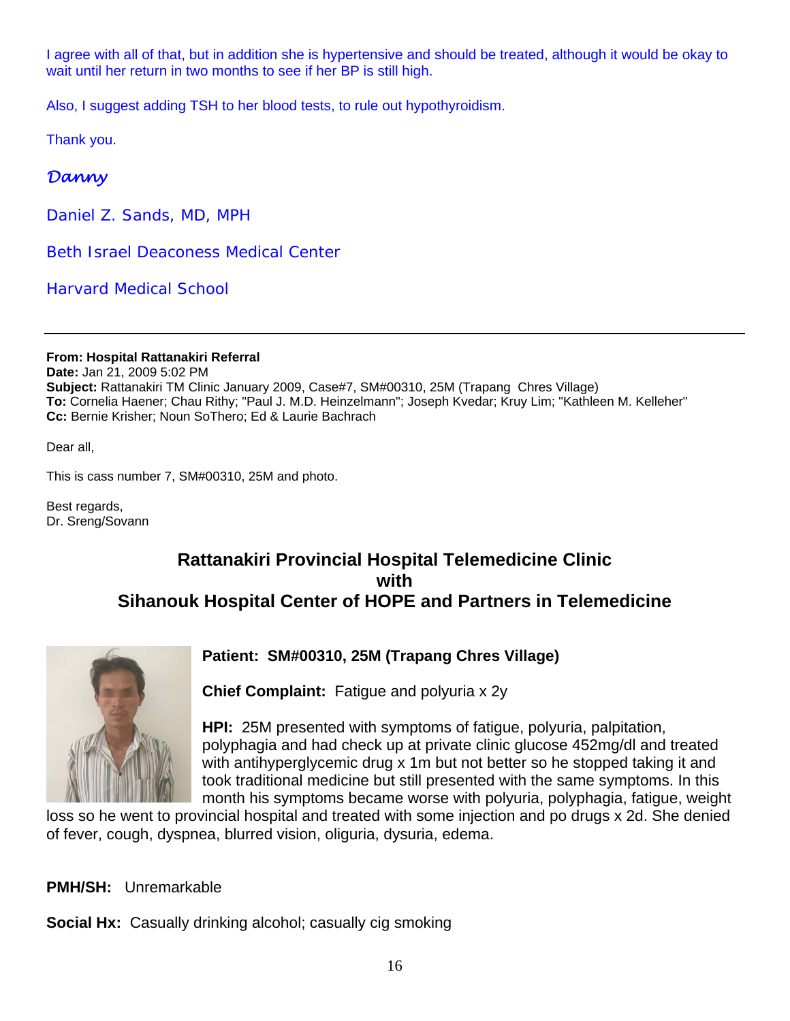I agree with all of that, but in addition she is hypertensive and should be treated, although it would be okay to wait until her return in two months to see if her BP is still high.

Also, I suggest adding TSH to her blood tests, to rule out hypothyroidism.

Thank you.

## *Danny*

*Daniel Z. Sands, MD, MPH*

*Beth Israel Deaconess Medical Center*

*Harvard Medical School*

**From: Hospital Rattanakiri Referral Date:** Jan 21, 2009 5:02 PM **Subject:** Rattanakiri TM Clinic January 2009, Case#7, SM#00310, 25M (Trapang Chres Village) **To:** Cornelia Haener; Chau Rithy; "Paul J. M.D. Heinzelmann"; Joseph Kvedar; Kruy Lim; "Kathleen M. Kelleher" **Cc:** Bernie Krisher; Noun SoThero; Ed & Laurie Bachrach

Dear all,

This is cass number 7, SM#00310, 25M and photo.

Best regards, Dr. Sreng/Sovann

## **Rattanakiri Provincial Hospital Telemedicine Clinic with Sihanouk Hospital Center of HOPE and Partners in Telemedicine**



## **Patient: SM#00310, 25M (Trapang Chres Village)**

**Chief Complaint:** Fatigue and polyuria x 2y

**HPI:** 25M presented with symptoms of fatigue, polyuria, palpitation, polyphagia and had check up at private clinic glucose 452mg/dl and treated with antihyperglycemic drug x 1m but not better so he stopped taking it and took traditional medicine but still presented with the same symptoms. In this month his symptoms became worse with polyuria, polyphagia, fatigue, weight

loss so he went to provincial hospital and treated with some injection and po drugs x 2d. She denied of fever, cough, dyspnea, blurred vision, oliguria, dysuria, edema.

## **PMH/SH:** Unremarkable

**Social Hx:** Casually drinking alcohol; casually cig smoking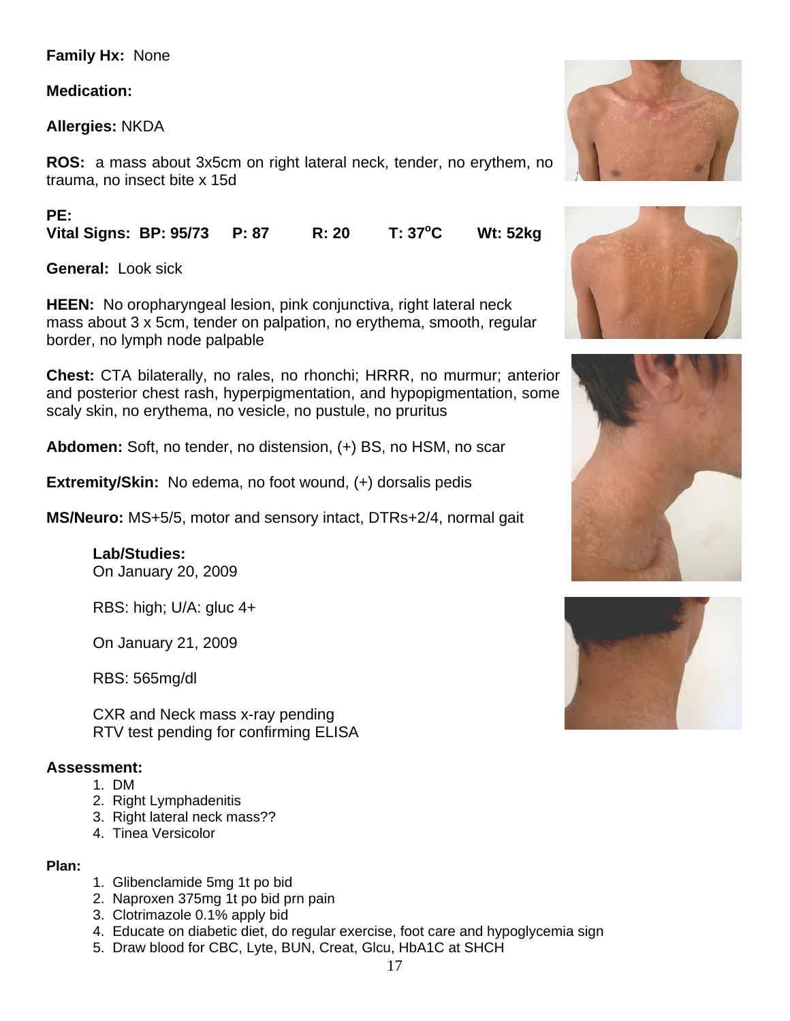## **Family Hx:** None

## **Medication:**

**Allergies:** NKDA

**ROS:** a mass about 3x5cm on right lateral neck, tender, no erythem, no trauma, no insect bite x 15d

**PE:** 

Vital Signs: BP: 95/73 P: 87 R: 20 T: 37<sup>°</sup>C **C Wt: 52kg** 

**General:** Look sick

**HEEN:** No oropharyngeal lesion, pink conjunctiva, right lateral neck mass about 3 x 5cm, tender on palpation, no erythema, smooth, regular border, no lymph node palpable

**Chest:** CTA bilaterally, no rales, no rhonchi; HRRR, no murmur; anterior and posterior chest rash, hyperpigmentation, and hypopigmentation, some scaly skin, no erythema, no vesicle, no pustule, no pruritus

**Abdomen:** Soft, no tender, no distension, (+) BS, no HSM, no scar

**Extremity/Skin:** No edema, no foot wound, (+) dorsalis pedis

**MS/Neuro:** MS+5/5, motor and sensory intact, DTRs+2/4, normal gait

**Lab/Studies:**  On January 20, 2009

RBS: high; U/A: gluc 4+

On January 21, 2009

RBS: 565mg/dl

 CXR and Neck mass x-ray pending RTV test pending for confirming ELISA

## **Assessment:**

- 1. DM
- 2. Right Lymphadenitis
- 3. Right lateral neck mass??
- 4. Tinea Versicolor

## **Plan:**

- 1. Glibenclamide 5mg 1t po bid
- 2. Naproxen 375mg 1t po bid prn pain
- 3. Clotrimazole 0.1% apply bid
- 4. Educate on diabetic diet, do regular exercise, foot care and hypoglycemia sign
- 5. Draw blood for CBC, Lyte, BUN, Creat, Glcu, HbA1C at SHCH





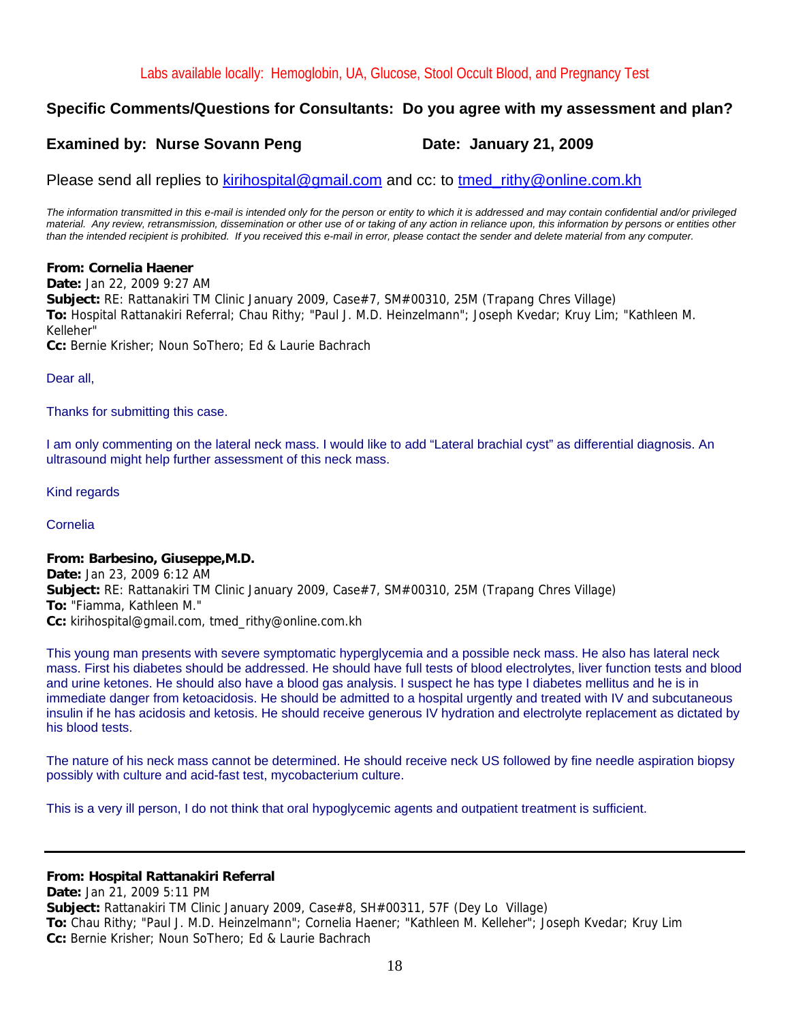## **Specific Comments/Questions for Consultants: Do you agree with my assessment and plan?**

## **Examined by: Nurse Sovann Peng Case Construent Canadian Date: January 21, 2009**

Please send all replies to kirihospital@gmail.com and cc: to tmed rithy@online.com.kh

*The information transmitted in this e-mail is intended only for the person or entity to which it is addressed and may contain confidential and/or privileged material. Any review, retransmission, dissemination or other use of or taking of any action in reliance upon, this information by persons or entities other than the intended recipient is prohibited. If you received this e-mail in error, please contact the sender and delete material from any computer.*

#### **From: Cornelia Haener**

**Date:** Jan 22, 2009 9:27 AM **Subject:** RE: Rattanakiri TM Clinic January 2009, Case#7, SM#00310, 25M (Trapang Chres Village) **To:** Hospital Rattanakiri Referral; Chau Rithy; "Paul J. M.D. Heinzelmann"; Joseph Kvedar; Kruy Lim; "Kathleen M. Kelleher" **Cc:** Bernie Krisher; Noun SoThero; Ed & Laurie Bachrach

Dear all,

Thanks for submitting this case.

I am only commenting on the lateral neck mass. I would like to add "Lateral brachial cyst" as differential diagnosis. An ultrasound might help further assessment of this neck mass.

Kind regards

Cornelia

#### **From: Barbesino, Giuseppe,M.D.**

**Date:** Jan 23, 2009 6:12 AM **Subject:** RE: Rattanakiri TM Clinic January 2009, Case#7, SM#00310, 25M (Trapang Chres Village) **To:** "Fiamma, Kathleen M." **Cc:** kirihospital@gmail.com, tmed\_rithy@online.com.kh

This young man presents with severe symptomatic hyperglycemia and a possible neck mass. He also has lateral neck mass. First his diabetes should be addressed. He should have full tests of blood electrolytes, liver function tests and blood and urine ketones. He should also have a blood gas analysis. I suspect he has type I diabetes mellitus and he is in immediate danger from ketoacidosis. He should be admitted to a hospital urgently and treated with IV and subcutaneous insulin if he has acidosis and ketosis. He should receive generous IV hydration and electrolyte replacement as dictated by his blood tests.

The nature of his neck mass cannot be determined. He should receive neck US followed by fine needle aspiration biopsy possibly with culture and acid-fast test, mycobacterium culture.

This is a very ill person, I do not think that oral hypoglycemic agents and outpatient treatment is sufficient.

#### **From: Hospital Rattanakiri Referral**

**Date:** Jan 21, 2009 5:11 PM **Subject:** Rattanakiri TM Clinic January 2009, Case#8, SH#00311, 57F (Dey Lo Village) **To:** Chau Rithy; "Paul J. M.D. Heinzelmann"; Cornelia Haener; "Kathleen M. Kelleher"; Joseph Kvedar; Kruy Lim **Cc:** Bernie Krisher; Noun SoThero; Ed & Laurie Bachrach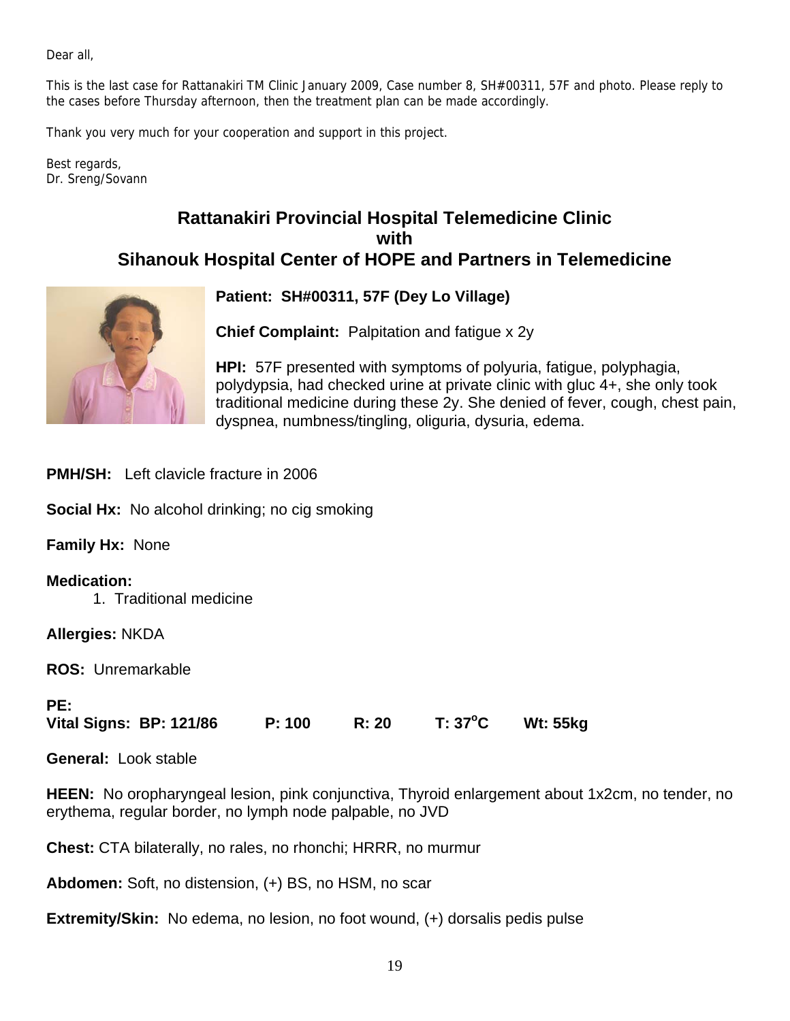Dear all,

This is the last case for Rattanakiri TM Clinic January 2009, Case number 8, SH#00311, 57F and photo. Please reply to the cases before Thursday afternoon, then the treatment plan can be made accordingly.

Thank you very much for your cooperation and support in this project.

Best regards, Dr. Sreng/Sovann

## **Rattanakiri Provincial Hospital Telemedicine Clinic with Sihanouk Hospital Center of HOPE and Partners in Telemedicine**



**Patient: SH#00311, 57F (Dey Lo Village)**

**Chief Complaint:** Palpitation and fatigue x 2y

**HPI:** 57F presented with symptoms of polyuria, fatigue, polyphagia, polydypsia, had checked urine at private clinic with gluc 4+, she only took traditional medicine during these 2y. She denied of fever, cough, chest pain, dyspnea, numbness/tingling, oliguria, dysuria, edema.

**PMH/SH:** Left clavicle fracture in 2006

**Social Hx:** No alcohol drinking; no cig smoking

**Family Hx:** None

**Medication:** 1. Traditional medicine

**Allergies:** NKDA

**ROS:** Unremarkable

#### **PE:**

**Vital Signs: BP: 121/86 P: 100 R: 20 T: 37o C Wt: 55kg** 

**General:** Look stable

**HEEN:** No oropharyngeal lesion, pink conjunctiva, Thyroid enlargement about 1x2cm, no tender, no erythema, regular border, no lymph node palpable, no JVD

**Chest:** CTA bilaterally, no rales, no rhonchi; HRRR, no murmur

**Abdomen:** Soft, no distension, (+) BS, no HSM, no scar

**Extremity/Skin:** No edema, no lesion, no foot wound, (+) dorsalis pedis pulse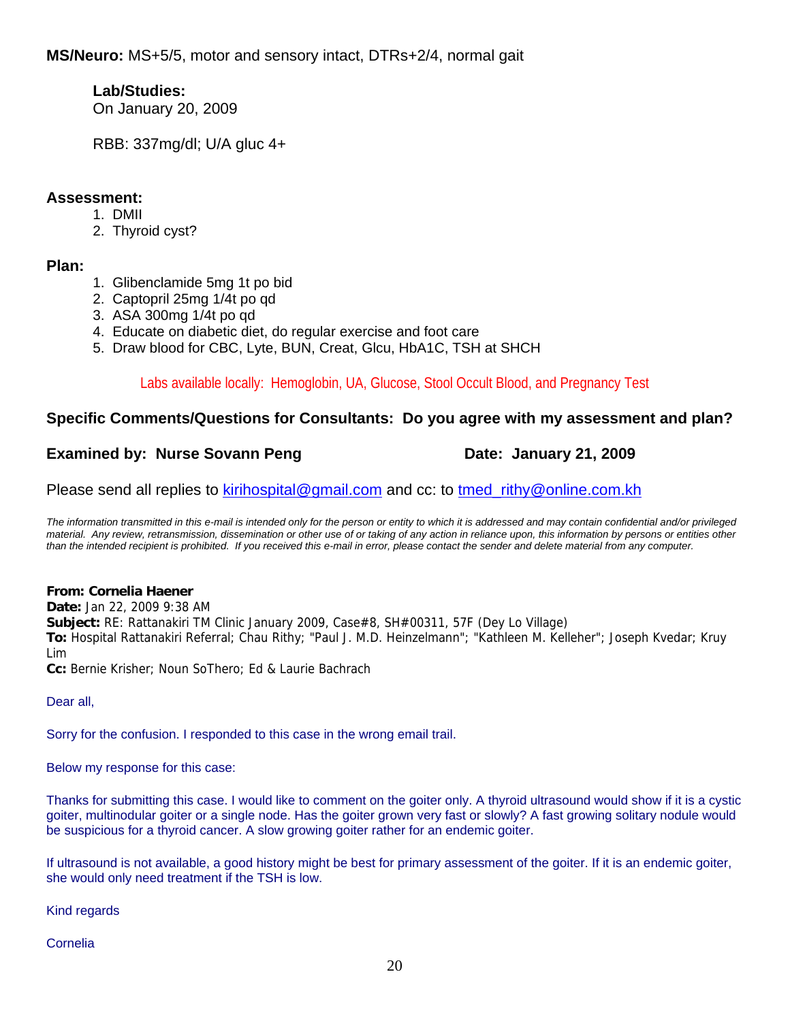## **Lab/Studies:**

On January 20, 2009

RBB: 337mg/dl; U/A gluc 4+

## **Assessment:**

- 1. DMII
- 2. Thyroid cyst?

## **Plan:**

- 1. Glibenclamide 5mg 1t po bid
- 2. Captopril 25mg 1/4t po qd
- 3. ASA 300mg 1/4t po qd
- 4. Educate on diabetic diet, do regular exercise and foot care
- 5. Draw blood for CBC, Lyte, BUN, Creat, Glcu, HbA1C, TSH at SHCH

Labs available locally: Hemoglobin, UA, Glucose, Stool Occult Blood, and Pregnancy Test

## **Specific Comments/Questions for Consultants: Do you agree with my assessment and plan?**

## **Examined by: Nurse Sovann Peng Line Communist Care: January 21, 2009**

Please send all replies to kirihospital@gmail.com and cc: to tmed rithy@online.com.kh

*The information transmitted in this e-mail is intended only for the person or entity to which it is addressed and may contain confidential and/or privileged material. Any review, retransmission, dissemination or other use of or taking of any action in reliance upon, this information by persons or entities other than the intended recipient is prohibited. If you received this e-mail in error, please contact the sender and delete material from any computer.*

## **From: Cornelia Haener**

**Date:** Jan 22, 2009 9:38 AM **Subject:** RE: Rattanakiri TM Clinic January 2009, Case#8, SH#00311, 57F (Dey Lo Village) **To:** Hospital Rattanakiri Referral; Chau Rithy; "Paul J. M.D. Heinzelmann"; "Kathleen M. Kelleher"; Joseph Kvedar; Kruy Lim

**Cc:** Bernie Krisher; Noun SoThero; Ed & Laurie Bachrach

Dear all,

Sorry for the confusion. I responded to this case in the wrong email trail.

Below my response for this case:

Thanks for submitting this case. I would like to comment on the goiter only. A thyroid ultrasound would show if it is a cystic goiter, multinodular goiter or a single node. Has the goiter grown very fast or slowly? A fast growing solitary nodule would be suspicious for a thyroid cancer. A slow growing goiter rather for an endemic goiter.

If ultrasound is not available, a good history might be best for primary assessment of the goiter. If it is an endemic goiter, she would only need treatment if the TSH is low.

Kind regards

## Cornelia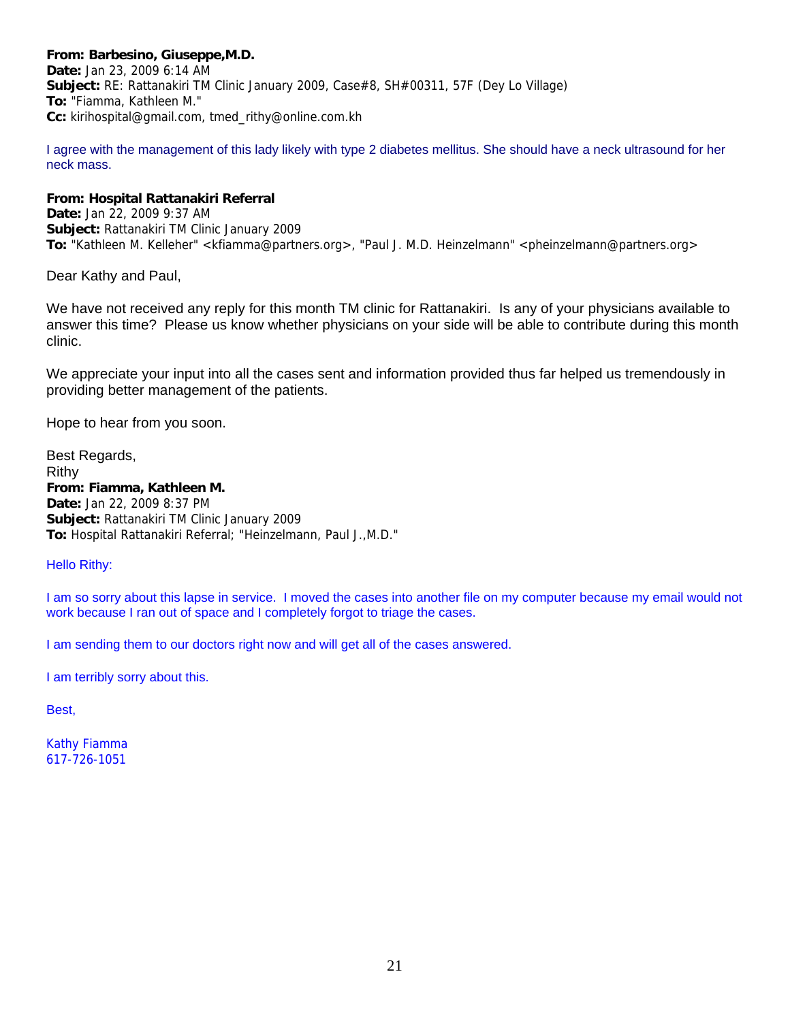#### **From: Barbesino, Giuseppe,M.D.**

**Date:** Jan 23, 2009 6:14 AM **Subject:** RE: Rattanakiri TM Clinic January 2009, Case#8, SH#00311, 57F (Dey Lo Village) **To:** "Fiamma, Kathleen M." **Cc:** kirihospital@gmail.com, tmed\_rithy@online.com.kh

I agree with the management of this lady likely with type 2 diabetes mellitus. She should have a neck ultrasound for her neck mass.

#### **From: Hospital Rattanakiri Referral**

**Date:** Jan 22, 2009 9:37 AM **Subject:** Rattanakiri TM Clinic January 2009 **To:** "Kathleen M. Kelleher" <kfiamma@partners.org>, "Paul J. M.D. Heinzelmann" <pheinzelmann@partners.org>

Dear Kathy and Paul,

We have not received any reply for this month TM clinic for Rattanakiri. Is any of your physicians available to answer this time? Please us know whether physicians on your side will be able to contribute during this month clinic.

We appreciate your input into all the cases sent and information provided thus far helped us tremendously in providing better management of the patients.

Hope to hear from you soon.

Best Regards, Rithy **From: Fiamma, Kathleen M. Date:** Jan 22, 2009 8:37 PM **Subject:** Rattanakiri TM Clinic January 2009 **To:** Hospital Rattanakiri Referral; "Heinzelmann, Paul J.,M.D."

#### Hello Rithy:

I am so sorry about this lapse in service. I moved the cases into another file on my computer because my email would not work because I ran out of space and I completely forgot to triage the cases.

I am sending them to our doctors right now and will get all of the cases answered.

I am terribly sorry about this.

Best,

Kathy Fiamma 617-726-1051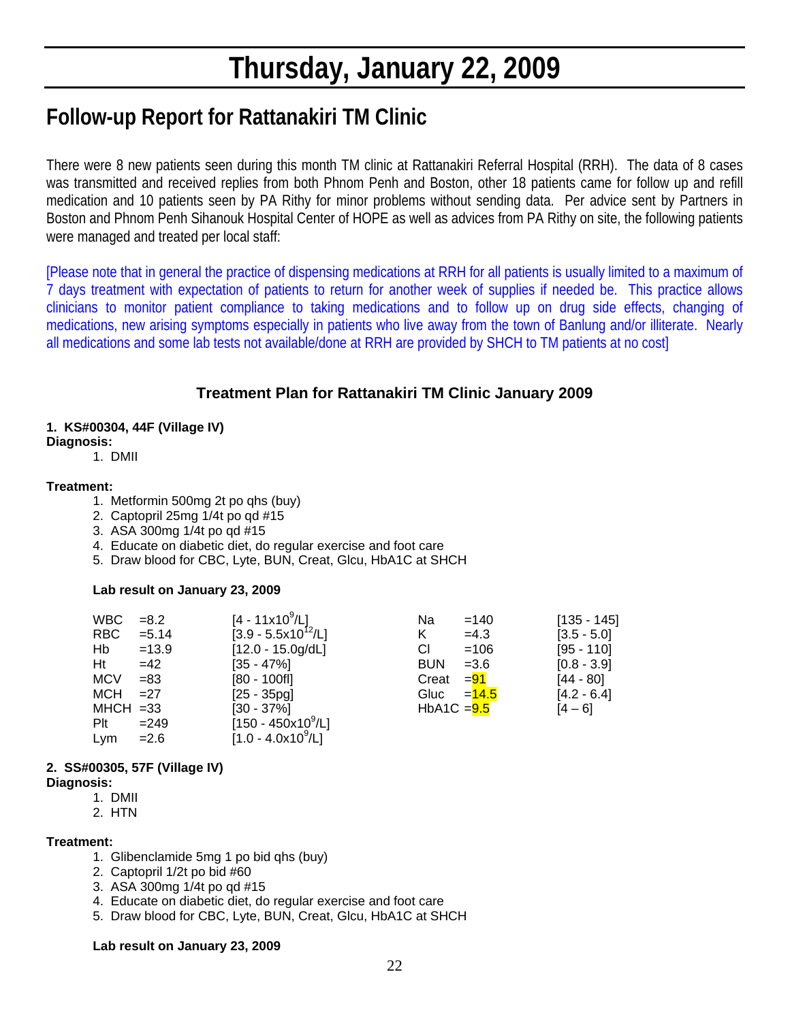# **Thursday, January 22, 2009**

# **Follow-up Report for Rattanakiri TM Clinic**

There were 8 new patients seen during this month TM clinic at Rattanakiri Referral Hospital (RRH). The data of 8 cases was transmitted and received replies from both Phnom Penh and Boston, other 18 patients came for follow up and refill medication and 10 patients seen by PA Rithy for minor problems without sending data. Per advice sent by Partners in Boston and Phnom Penh Sihanouk Hospital Center of HOPE as well as advices from PA Rithy on site, the following patients were managed and treated per local staff:

[Please note that in general the practice of dispensing medications at RRH for all patients is usually limited to a maximum of 7 days treatment with expectation of patients to return for another week of supplies if needed be. This practice allows clinicians to monitor patient compliance to taking medications and to follow up on drug side effects, changing of medications, new arising symptoms especially in patients who live away from the town of Banlung and/or illiterate. Nearly all medications and some lab tests not available/done at RRH are provided by SHCH to TM patients at no cost]

## **Treatment Plan for Rattanakiri TM Clinic January 2009**

#### **1. KS#00304, 44F (Village IV)**

#### **Diagnosis:**

1. DMII

#### **Treatment:**

- 1. Metformin 500mg 2t po qhs (buy)
- 2. Captopril 25mg 1/4t po qd #15
- 3. ASA 300mg 1/4t po qd #15
- 4. Educate on diabetic diet, do regular exercise and foot care
- 5. Draw blood for CBC, Lyte, BUN, Creat, Glcu, HbA1C at SHCH

#### **Lab result on January 23, 2009**

|     | WBC<br>$= 8.2$       |          | $[4 - 11 \times 10^9/L]$ |   | Na            | $=140$   | $[135 - 145]$ |
|-----|----------------------|----------|--------------------------|---|---------------|----------|---------------|
|     | RBC                  | $= 5.14$ | $[3.9 - 5.5x10^{12}/L]$  | K |               | $=4.3$   | $[3.5 - 5.0]$ |
| Hb  | $=13.9$              |          | $[12.0 - 15.0g/dL]$      |   | СI            | $=106$   | $[95 - 110]$  |
| Ht  | $=42$                |          | $[35 - 47\%]$            |   | <b>BUN</b>    | $= 3.6$  | $[0.8 - 3.9]$ |
|     | <b>MCV</b><br>$= 83$ |          | $[80 - 100$ fl]          |   | Creat         | $= 91$   | $[44 - 80]$   |
|     | MCH<br>$=27$         |          | $[25 - 35pg]$            |   | Gluc          | $= 14.5$ | $[4.2 - 6.4]$ |
|     | $MHCH = 33$          |          | $[30 - 37\%]$            |   | HbA1C $=$ 9.5 |          | $[4 - 6]$     |
| Plt | $= 249$              |          | $[150 - 450x10^9/L]$     |   |               |          |               |
|     | $= 2.6$<br>Lym       |          | $[1.0 - 4.0x10^9/L]$     |   |               |          |               |

## **2. SS#00305, 57F (Village IV)**

#### **Diagnosis:**

- 1. DMII
- 2. HTN

#### **Treatment:**

- 1. Glibenclamide 5mg 1 po bid qhs (buy)
- 2. Captopril 1/2t po bid #60
- 3. ASA 300mg 1/4t po qd #15
- 4. Educate on diabetic diet, do regular exercise and foot care
- 5. Draw blood for CBC, Lyte, BUN, Creat, Glcu, HbA1C at SHCH

#### **Lab result on January 23, 2009**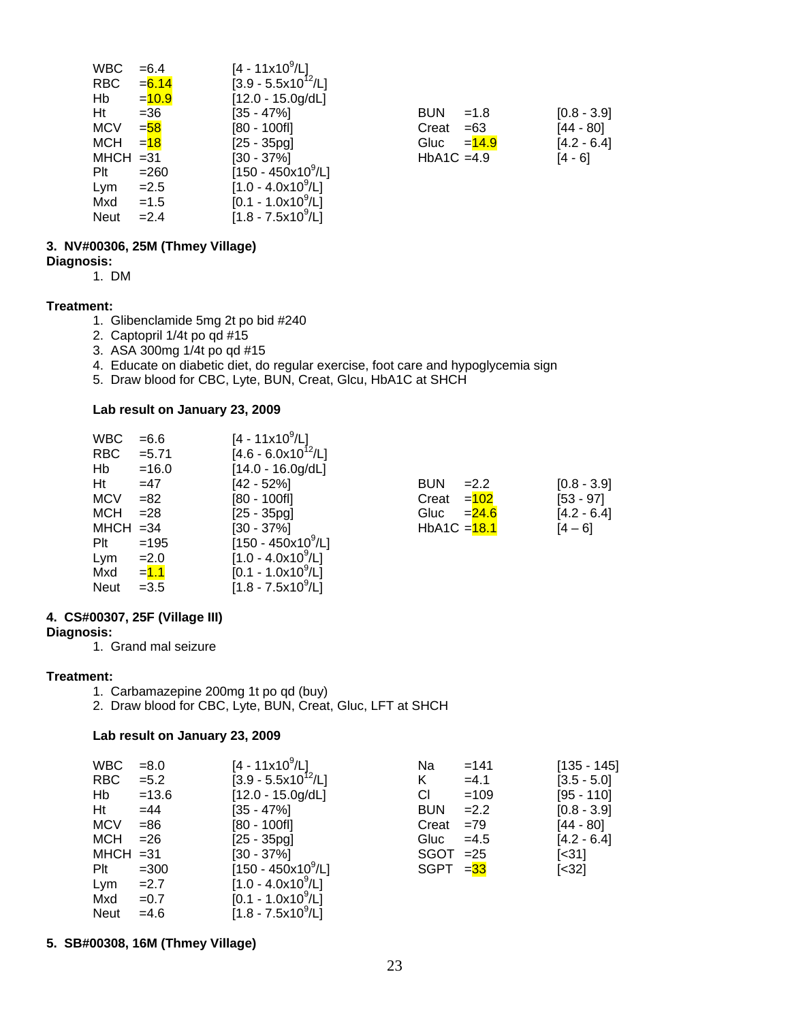| WBC         | $= 6.4$  | $[4 - 11x10^9/L]$       |                      |               |
|-------------|----------|-------------------------|----------------------|---------------|
| <b>RBC</b>  | $= 6.14$ | $[3.9 - 5.5x10^{12}/L]$ |                      |               |
| Hb          | $= 10.9$ | $[12.0 - 15.0g/dL]$     |                      |               |
| Ht          | $=36$    | [35 - 47%]              | <b>BUN</b><br>$=1.8$ | $[0.8 - 3.9]$ |
| <b>MCV</b>  | $=$ 58   | [80 - 100fl]            | Creat<br>$=63$       | $[44 - 80]$   |
| <b>MCH</b>  | $= 18$   | $[25 - 35pq]$           | Gluc<br>$=14.9$      | $[4.2 - 6.4]$ |
| $MHCH = 31$ |          | [30 - 37%]              | $HbA1C = 4.9$        | $[4 - 6]$     |
| Plt         | $= 260$  | $[150 - 450x10^9/L]$    |                      |               |
| Lym         | $=2.5$   | $[1.0 - 4.0x10^9/L]$    |                      |               |
| Mxd         | $=1.5$   | $[0.1 - 1.0x10^9/L]$    |                      |               |
| <b>Neut</b> | $=2.4$   | $[1.8 - 7.5x10^9/L]$    |                      |               |

| BUN                       | $=1.8$ | $[0.8 - 3.9]$ |
|---------------------------|--------|---------------|
| Creat                     | $=63$  | [44 - 80]     |
| Gluc $=$ $\frac{14.9}{ }$ |        | $[4.2 - 6.4]$ |
| $HbA1C = 4.9$             |        | [4 - 6]       |

## **3. NV#00306, 25M (Thmey Village)**

**Diagnosis:** 

1. DM

#### **Treatment:**

- 1. Glibenclamide 5mg 2t po bid #240
- 2. Captopril 1/4t po qd #15
- 3. ASA 300mg 1/4t po qd #15
- 4. Educate on diabetic diet, do regular exercise, foot care and hypoglycemia sign
- 5. Draw blood for CBC, Lyte, BUN, Creat, Glcu, HbA1C at SHCH

#### **Lab result on January 23, 2009**

| <b>WBC</b>  | $= 6.6$     | $[4 - 11 \times 10^9/L]$           |                      |               |
|-------------|-------------|------------------------------------|----------------------|---------------|
| <b>RBC</b>  | $= 5.71$    | $[4.6 - 6.0x10^{12}/L]$            |                      |               |
| Hb          | $=16.0$     | $[14.0 - 16.0g/dL]$                |                      |               |
| Ht          | $=47$       | $[42 - 52%]$                       | <b>BUN</b><br>$=2.2$ | $[0.8 - 3.9]$ |
| <b>MCV</b>  | $= 82$      | $[80 - 100f]$                      | $=102$<br>Creat      | $[53 - 97]$   |
| <b>MCH</b>  | $= 28$      | $[25 - 35pg]$                      | Gluc<br>$= 24.6$     | $[4.2 - 6.4]$ |
|             | $MHCH = 34$ | $[30 - 37\%]$                      | HbA1C $=$ 18.1       | [4 – 6]       |
| Plt         | $=195$      | $[150 - 450 \times 10^9/\text{L}]$ |                      |               |
| Lym         | $=2.0$      | $[1.0 - 4.0x10^9/L]$               |                      |               |
| Mxd         | $=1.1$      | $[0.1 - 1.0x10^9/L]$               |                      |               |
| <b>Neut</b> | $=3.5$      | $[1.8 - 7.5x10^9/L]$               |                      |               |

#### **4. CS#00307, 25F (Village III)**

#### **Diagnosis:**

1. Grand mal seizure

#### **Treatment:**

- 1. Carbamazepine 200mg 1t po qd (buy)
- 2. Draw blood for CBC, Lyte, BUN, Creat, Gluc, LFT at SHCH

#### **Lab result on January 23, 2009**

|    | <b>WBC</b>  | $= 8.0$ | [4 - 11x10 <sup>9</sup> /L]    | Na          | $=141$ | $[135 - 145]$ |
|----|-------------|---------|--------------------------------|-------------|--------|---------------|
|    | <b>RBC</b>  | $= 5.2$ | $[3.9 - 5.5x10^{12}/L]$        | Κ           | $=4.1$ | $[3.5 - 5.0]$ |
|    | Hb          | $=13.6$ | $[12.0 - 15.0g/dL]$            | <b>CI</b>   | $=109$ | $[95 - 110]$  |
| Ht |             | $=44$   | [35 - 47%]                     | <b>BUN</b>  | $=2.2$ | $[0.8 - 3.9]$ |
|    | <b>MCV</b>  | $= 86$  | [80 - 100fl]                   | Creat       | $=79$  | [44 - 80]     |
|    | MCH         | $= 26$  | $[25 - 35pg]$                  | Gluc        | $=4.5$ | $[4.2 - 6.4]$ |
|    | $MHCH = 31$ |         | [30 - 37%]                     | $SGOT = 25$ |        | [<31]         |
|    | Plt         | $=300$  | [150 - 450x10 <sup>9</sup> /L] | $SGPT = 33$ |        | $[<32]$       |
|    | Lym         | $=2.7$  | $[1.0 - 4.0x109/L]$            |             |        |               |
|    | Mxd         | $=0.7$  | $[0.1 - 1.0x10^9/L]$           |             |        |               |
|    | <b>Neut</b> | $=4.6$  | $[1.8 - 7.5x10^9/L]$           |             |        |               |

**5. SB#00308, 16M (Thmey Village)**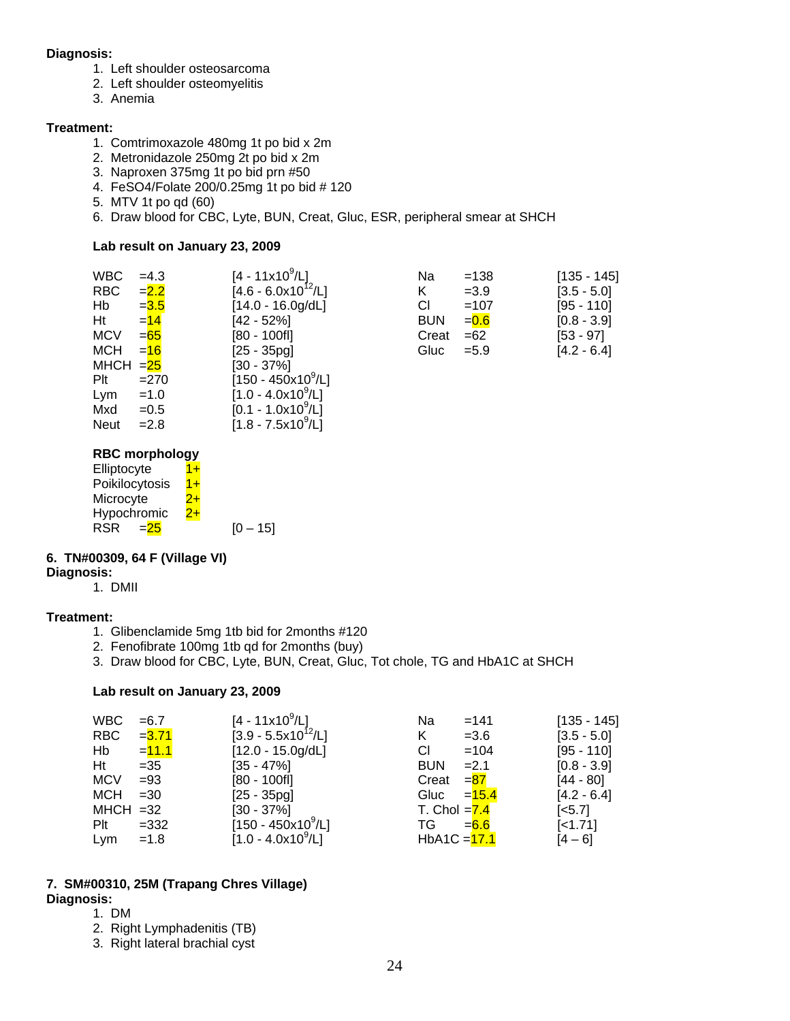#### **Diagnosis:**

- 1. Left shoulder osteosarcoma
- 2. Left shoulder osteomyelitis
- 3. Anemia

#### **Treatment:**

- 1. Comtrimoxazole 480mg 1t po bid x 2m
- 2. Metronidazole 250mg 2t po bid x 2m
- 3. Naproxen 375mg 1t po bid prn #50
- 4. FeSO4/Folate 200/0.25mg 1t po bid # 120
- 5. MTV 1t po qd (60)
- 6. Draw blood for CBC, Lyte, BUN, Creat, Gluc, ESR, peripheral smear at SHCH

#### **Lab result on January 23, 2009**

| WBC                  | $=4.3$  | $[4 - 11 \times 10^9/L]$           | Na         | $=138$  | $[135 - 145]$ |
|----------------------|---------|------------------------------------|------------|---------|---------------|
| <b>RBC</b>           | $= 2.2$ | $[4.6 - 6.0x10^{12}/L]$            | Κ          | $=3.9$  | $[3.5 - 5.0]$ |
| Hb                   | $= 3.5$ | $[14.0 - 16.0g/dL]$                | СI         | $=107$  | $[95 - 110]$  |
| Ht                   | $= 14$  | $[42 - 52%]$                       | <b>BUN</b> | $= 0.6$ | $[0.8 - 3.9]$ |
| <b>MCV</b>           | $= 65$  | $[80 - 100$ fl]                    | Creat      | $=62$   | $[53 - 97]$   |
| <b>MCH</b>           | $= 16$  | $[25 - 35pg]$                      | Gluc       | $= 5.9$ | $[4.2 - 6.4]$ |
| MHCH $=\frac{25}{2}$ |         | $[30 - 37\%]$                      |            |         |               |
| Plt                  | $=270$  | $[150 - 450 \times 10^9/\text{L}]$ |            |         |               |
| Lym                  | $=1.0$  | $[1.0 - 4.0x10^9/L]$               |            |         |               |
| Mxd                  | $=0.5$  | $[0.1 - 1.0x10^9/L]$               |            |         |               |
| <b>Neut</b>          | $=2.8$  | $[1.8 - 7.5x10^9/L]$               |            |         |               |

#### **RBC morphology**

| Elliptocyte         | l +  |            |
|---------------------|------|------------|
| Poikilocytosis      | $1+$ |            |
| Microcyte           | $+$  |            |
| Hypochromic         | 2+   |            |
| <b>RSR</b><br>$=25$ |      | $[0 - 15]$ |

#### **6. TN#00309, 64 F (Village VI)**

**Diagnosis:** 1. DMII

#### **Treatment:**

- 1. Glibenclamide 5mg 1tb bid for 2months #120
- 2. Fenofibrate 100mg 1tb qd for 2months (buy)
- 3. Draw blood for CBC, Lyte, BUN, Creat, Gluc, Tot chole, TG and HbA1C at SHCH

#### **Lab result on January 23, 2009**

| <b>WBC</b>  | $= 6.7$  | $[4 - 11 \times 10^9/L]$ | Na             | $=141$   | $[135 - 145]$         |
|-------------|----------|--------------------------|----------------|----------|-----------------------|
| RBC         | $= 3.71$ | $[3.9 - 5.5x10^{12}/L]$  | K              | $= 3.6$  | $[3.5 - 5.0]$         |
| Hb          | $=11.1$  | $[12.0 - 15.0g/dL]$      | СI             | $=104$   | $[95 - 110]$          |
| Ht          | $=35$    | $[35 - 47\%]$            | <b>BUN</b>     | $=2.1$   | $[0.8 - 3.9]$         |
| <b>MCV</b>  | $= 93$   | $[80 - 100$ fl]          | Creat          | $= 87$   | $[44 - 80]$           |
| MCH         | $=30$    | $[25 - 35pq]$            | Gluc           | $= 15.4$ | $[4.2 - 6.4]$         |
| $MHCH = 32$ |          | $[30 - 37\%]$            | T. Chol $=7.4$ |          | $\left[ <5.7 \right]$ |
| Plt         | $=332$   | $[150 - 450x10^9/L]$     | TG.            | $= 6.6$  | $[-1.71]$             |
| Lym         | $=1.8$   | $[1.0 - 4.0x109/L]$      | $HbA1C = 17.1$ |          | $[4 - 6]$             |

#### **7. SM#00310, 25M (Trapang Chres Village) Diagnosis:**

- 1. DM
- 2. Right Lymphadenitis (TB)
- 3. Right lateral brachial cyst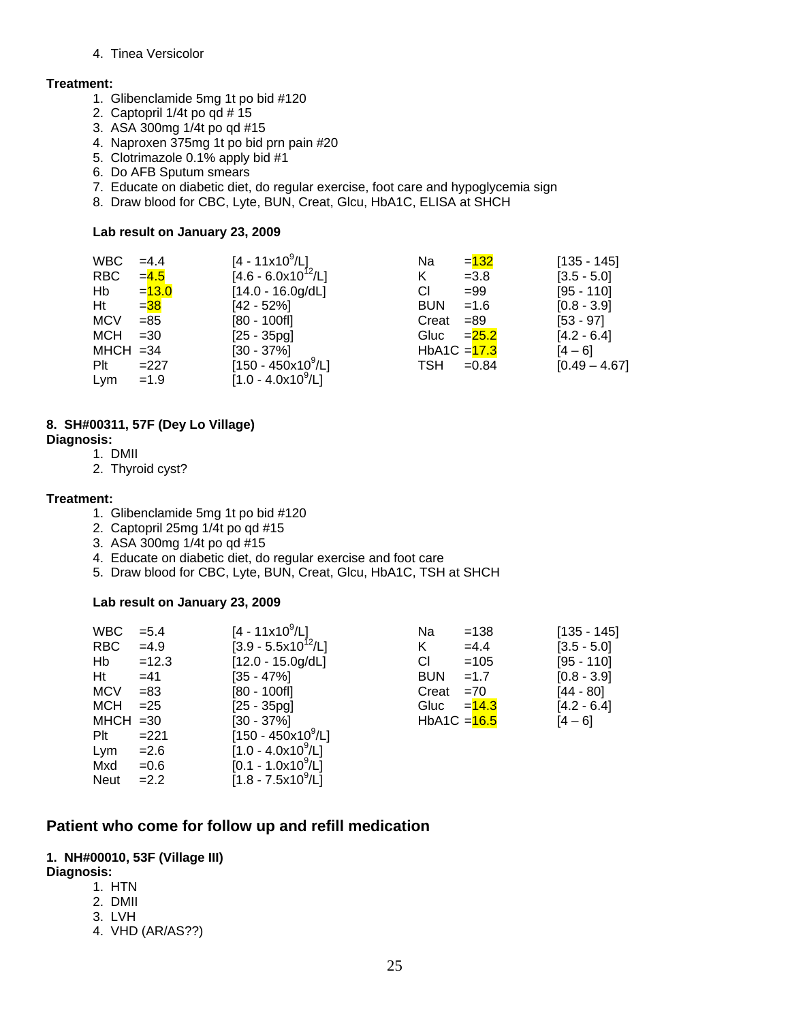#### 4. Tinea Versicolor

#### **Treatment:**

- 1. Glibenclamide 5mg 1t po bid #120
- 2. Captopril 1/4t po qd # 15
- 3. ASA 300mg 1/4t po qd #15
- 4. Naproxen 375mg 1t po bid prn pain #20
- 5. Clotrimazole 0.1% apply bid #1
- 6. Do AFB Sputum smears
- 7. Educate on diabetic diet, do regular exercise, foot care and hypoglycemia sign
- 8. Draw blood for CBC, Lyte, BUN, Creat, Glcu, HbA1C, ELISA at SHCH

#### **Lab result on January 23, 2009**

| <b>WBC</b>  | $=4.4$   | $[4 - 11 \times 10^9 / L]$ | Na             | $= 132$  | $[135 - 145]$   |
|-------------|----------|----------------------------|----------------|----------|-----------------|
| RBC         | $= 4.5$  | $[4.6 - 6.0x10^{12}/L]$    | K              | $=3.8$   | $[3.5 - 5.0]$   |
| Hb          | $= 13.0$ | $[14.0 - 16.0g/dL]$        | СI             | $=99$    | $[95 - 110]$    |
| Ht          | $= 38$   | $[42 - 52%]$               | <b>BUN</b>     | $=1.6$   | $[0.8 - 3.9]$   |
| <b>MCV</b>  | $= 85$   | $[80 - 100f]$              | Creat          | $= 89$   | $[53 - 97]$     |
| <b>MCH</b>  | $=30$    | $[25 - 35pq]$              | Gluc           | $= 25.2$ | $[4.2 - 6.4]$   |
| $MHCH = 34$ |          | $[30 - 37\%]$              | HbA1C $=$ 17.3 |          | $[4 - 6]$       |
| Plt         | $=227$   | $[150 - 450x10^9/L]$       | <b>TSH</b>     | $=0.84$  | $[0.49 - 4.67]$ |
| Lym         | $=1.9$   | $[1.0 - 4.0x10^9/L]$       |                |          |                 |

#### **8. SH#00311, 57F (Dey Lo Village)**

- **Diagnosis:** 
	- 1. DMII
	- 2. Thyroid cyst?

#### **Treatment:**

- 1. Glibenclamide 5mg 1t po bid #120
- 2. Captopril 25mg 1/4t po qd #15
- 3. ASA 300mg 1/4t po qd #15
- 4. Educate on diabetic diet, do regular exercise and foot care
- 5. Draw blood for CBC, Lyte, BUN, Creat, Glcu, HbA1C, TSH at SHCH

#### **Lab result on January 23, 2009**

| <b>WBC</b>  | $= 5.4$ | [4 - 11x10 <sup>9</sup> /L]    | Na             | $=138$  | $[135 - 145]$ |
|-------------|---------|--------------------------------|----------------|---------|---------------|
| <b>RBC</b>  | $=4.9$  | $[3.9 - 5.5x10^{12}/L]$        | K              | $=4.4$  | $[3.5 - 5.0]$ |
| Hb          | $=12.3$ | $[12.0 - 15.0g/dL]$            | СI             | $=105$  | $[95 - 110]$  |
| Ht          | $=41$   | $[35 - 47\%]$                  | <b>BUN</b>     | $=1.7$  | $[0.8 - 3.9]$ |
| <b>MCV</b>  | $= 83$  | [80 - 100fl]                   | Creat          | $=70$   | $[44 - 80]$   |
| <b>MCH</b>  | $=25$   | $[25 - 35pq]$                  | Gluc           | $=14.3$ | $[4.2 - 6.4]$ |
| $MHCH = 30$ |         | [30 - 37%]                     | HbA1C $=$ 16.5 |         | $[4 - 6]$     |
| Plt         | $=221$  | [150 - 450x10 <sup>9</sup> /L] |                |         |               |
| Lym         | $= 2.6$ | $[1.0 - 4.0x10^9/L]$           |                |         |               |
| Mxd         | $=0.6$  | $[0.1 - 1.0x10^9/L]$           |                |         |               |
| <b>Neut</b> | $=2.2$  | $[1.8 - 7.5x10^9/L]$           |                |         |               |

## **Patient who come for follow up and refill medication**

#### **1. NH#00010, 53F (Village III)**

#### **Diagnosis:**

- 1. HTN
- 2. DMII
- 3. LVH
- 4. VHD (AR/AS??)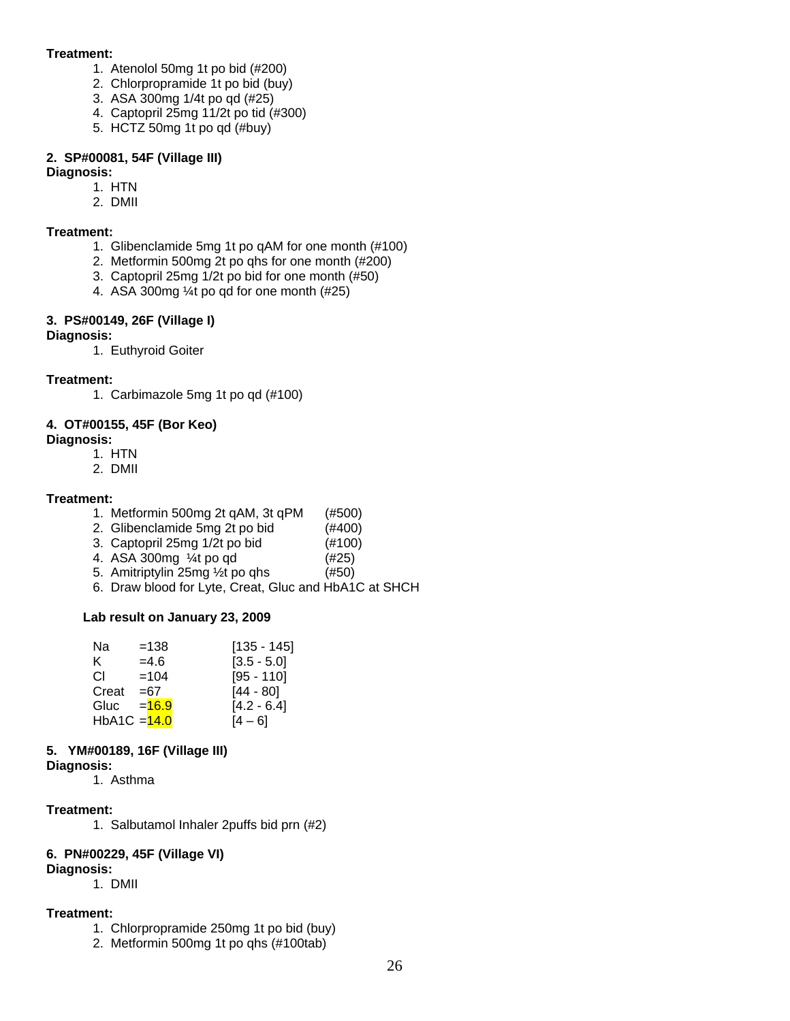#### **Treatment:**

- 1. Atenolol 50mg 1t po bid (#200)
- 2. Chlorpropramide 1t po bid (buy)
- 3. ASA 300mg 1/4t po qd (#25)
- 4. Captopril 25mg 11/2t po tid (#300)
- 5. HCTZ 50mg 1t po qd (#buy)

#### **2. SP#00081, 54F (Village III)**

## **Diagnosis:**

- 1. HTN
- 2. DMII

#### **Treatment:**

- 1. Glibenclamide 5mg 1t po qAM for one month (#100)
- 2. Metformin 500mg 2t po qhs for one month (#200)
- 3. Captopril 25mg 1/2t po bid for one month (#50)
- 4. ASA 300mg ¼t po qd for one month (#25)

#### **3. PS#00149, 26F (Village I)**

#### **Diagnosis:**

1. Euthyroid Goiter

#### **Treatment:**

1. Carbimazole 5mg 1t po qd (#100)

## **4. OT#00155, 45F (Bor Keo)**

#### **Diagnosis:**

- 1. HTN
- 2. DMII

#### **Treatment:**

- 1. Metformin 500mg 2t qAM, 3t qPM (#500)
- 2. Glibenclamide 5mg 2t po bid (#400)
- 3. Captopril 25mg 1/2t po bid (#100)
- 4. ASA 300mg ¼t po qd (#25)
- 5. Amitriptylin 25mg ½t po qhs (#50)
- 6. Draw blood for Lyte, Creat, Gluc and HbA1C at SHCH

#### **Lab result on January 23, 2009**

| Na             | $=138$   | $[135 - 145]$ |
|----------------|----------|---------------|
| ĸ.             | $=4.6$   | $[3.5 - 5.0]$ |
| CL.            | $=104$   | $[95 - 110]$  |
| Creat          | $=67$    | $[44 - 80]$   |
| Gluc           | $= 16.9$ | $[4.2 - 6.4]$ |
| HbA1C = $14.0$ |          | $[4 - 6]$     |

#### **5. YM#00189, 16F (Village III)**

**Diagnosis:** 

1. Asthma

#### **Treatment:**

1. Salbutamol Inhaler 2puffs bid prn (#2)

#### **6. PN#00229, 45F (Village VI)**

- **Diagnosis:**
	- 1. DMII

## **Treatment:**

- 1. Chlorpropramide 250mg 1t po bid (buy)
- 2. Metformin 500mg 1t po qhs (#100tab)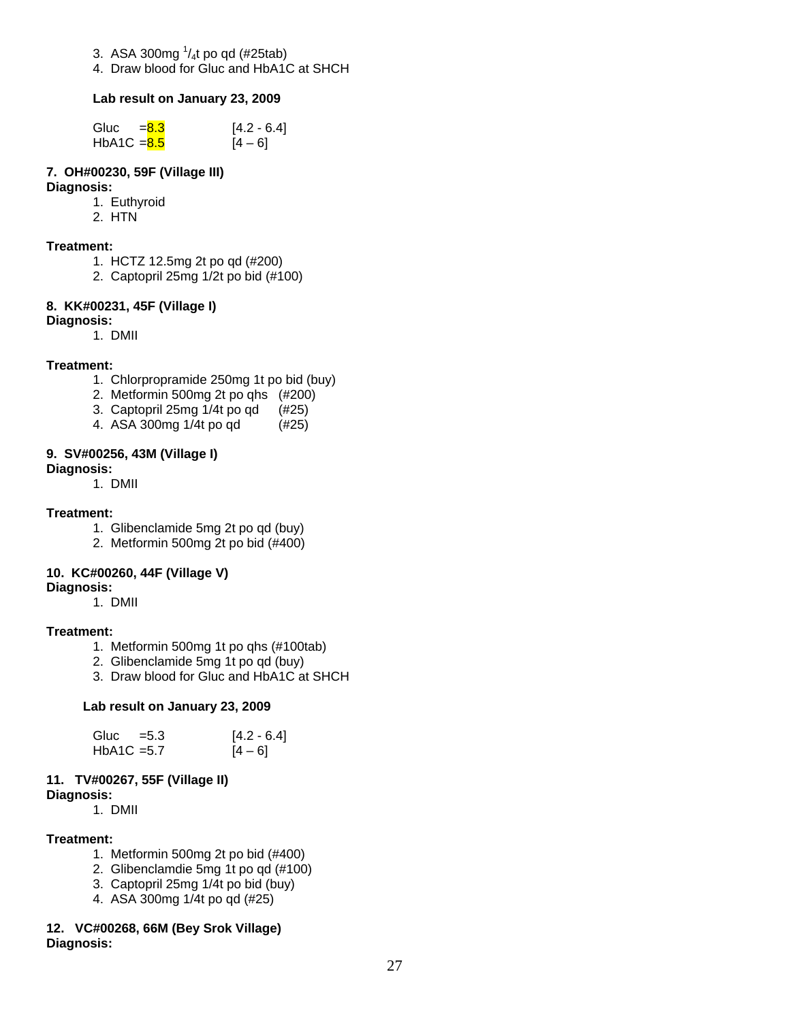- 3. ASA 300mg  $\frac{1}{4}$ t po qd (#25tab)
- 4. Draw blood for Gluc and HbA1C at SHCH

#### **Lab result on January 23, 2009**

| Gluc $= 8.3$  | $[4.2 - 6.4]$ |
|---------------|---------------|
| $HbA1C = 8.5$ | $[4 - 6]$     |

#### **7. OH#00230, 59F (Village III) Diagnosis:**

- 1. Euthyroid
- 2. HTN

#### **Treatment:**

- 1. HCTZ 12.5mg 2t po qd (#200)
- 2. Captopril 25mg 1/2t po bid (#100)

#### **8. KK#00231, 45F (Village I)**

#### **Diagnosis:**

1. DMII

#### **Treatment:**

- 1. Chlorpropramide 250mg 1t po bid (buy)
- 2. Metformin 500mg 2t po qhs (#200)
- 3. Captopril 25mg 1/4t po qd (#25)
- 4. ASA 300mg 1/4t po qd (#25)

#### **9. SV#00256, 43M (Village I)**

**Diagnosis:**

1. DMII

#### **Treatment:**

- 1. Glibenclamide 5mg 2t po qd (buy)
- 2. Metformin 500mg 2t po bid (#400)

#### **10. KC#00260, 44F (Village V)**

#### **Diagnosis:**

1. DMII

#### **Treatment:**

- 1. Metformin 500mg 1t po qhs (#100tab)
- 2. Glibenclamide 5mg 1t po qd (buy)
- 3. Draw blood for Gluc and HbA1C at SHCH

#### **Lab result on January 23, 2009**

| Gluc $=5.3$   | $[4.2 - 6.4]$ |
|---------------|---------------|
| $HbA1C = 5.7$ | $[4 - 6]$     |

#### **11. TV#00267, 55F (Village II) Diagnosis:**

1. DMII

#### **Treatment:**

- 1. Metformin 500mg 2t po bid (#400)
- 2. Glibenclamdie 5mg 1t po qd (#100)
- 3. Captopril 25mg 1/4t po bid (buy)
- 4. ASA 300mg 1/4t po qd (#25)

#### **12. VC#00268, 66M (Bey Srok Village) Diagnosis:**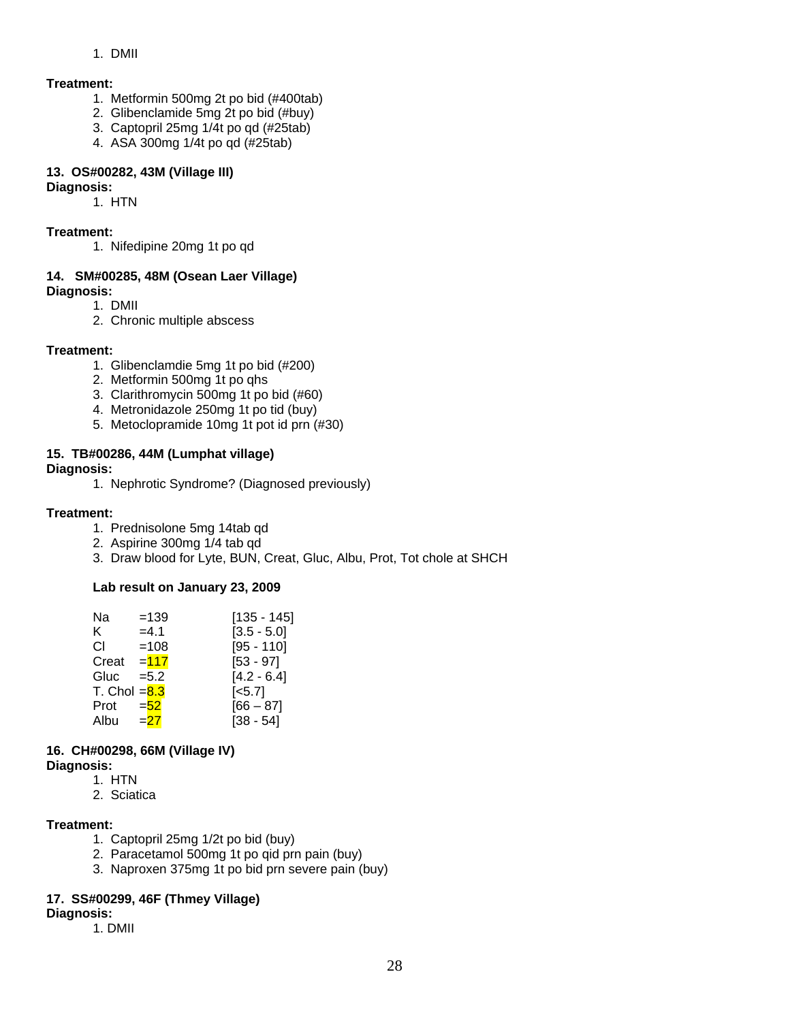#### 1. DMII

#### **Treatment:**

- 1. Metformin 500mg 2t po bid (#400tab)
- 2. Glibenclamide 5mg 2t po bid (#buy)
- 3. Captopril 25mg 1/4t po qd (#25tab)
- 4. ASA 300mg 1/4t po qd (#25tab)

#### **13. OS#00282, 43M (Village III)**

#### **Diagnosis:**

1. HTN

#### **Treatment:**

1. Nifedipine 20mg 1t po qd

## **14. SM#00285, 48M (Osean Laer Village)**

**Diagnosis:** 

- 1. DMII
- 2. Chronic multiple abscess

#### **Treatment:**

- 1. Glibenclamdie 5mg 1t po bid (#200)
- 2. Metformin 500mg 1t po qhs
- 3. Clarithromycin 500mg 1t po bid (#60)
- 4. Metronidazole 250mg 1t po tid (buy)
- 5. Metoclopramide 10mg 1t pot id prn (#30)

#### **15. TB#00286, 44M (Lumphat village)**

#### **Diagnosis:**

1. Nephrotic Syndrome? (Diagnosed previously)

#### **Treatment:**

- 1. Prednisolone 5mg 14tab qd
- 2. Aspirine 300mg 1/4 tab qd
- 3. Draw blood for Lyte, BUN, Creat, Gluc, Albu, Prot, Tot chole at SHCH

#### **Lab result on January 23, 2009**

| Na             | $=139$  | [135 - 145]   |
|----------------|---------|---------------|
| K.             | $=4.1$  | $[3.5 - 5.0]$ |
| СI             | $=108$  | $[95 - 110]$  |
| Creat $= 117$  |         | $[53 - 97]$   |
| Gluc           | $= 5.2$ | $[4.2 - 6.4]$ |
| T. Chol $=8.3$ |         | $[-5.7]$      |
| Prot           | $= 52$  | $[66 - 87]$   |
| Albu           | $= 27$  | $[38 - 54]$   |

## **16. CH#00298, 66M (Village IV)**

- **Diagnosis:** 
	- 1. HTN
	- 2. Sciatica

#### **Treatment:**

- 1. Captopril 25mg 1/2t po bid (buy)
- 2. Paracetamol 500mg 1t po qid prn pain (buy)
- 3. Naproxen 375mg 1t po bid prn severe pain (buy)

#### **17. SS#00299, 46F (Thmey Village)**

- **Diagnosis:**
	- 1. DMII